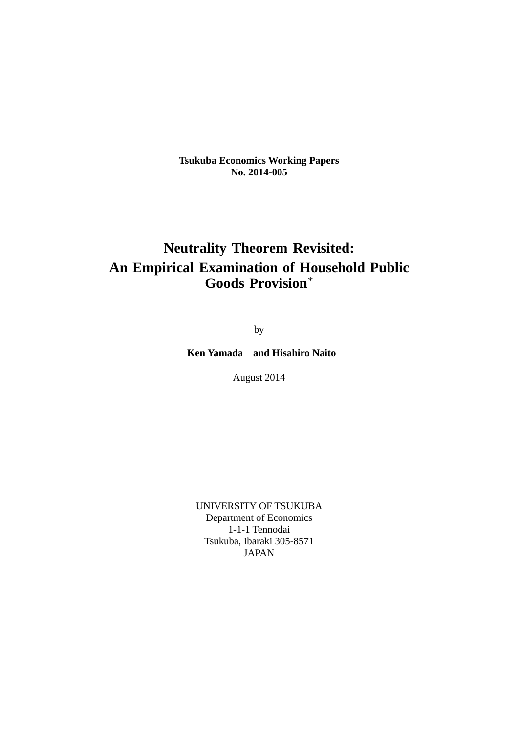**Tsukuba Economics Working Papers No. 2014-005**

## **Neutrality Theorem Revisited: An Empirical Examination of Household Public Goods Provision***<sup>∗</sup>*

by

 **Ken Yamada and Hisahiro Naito** 

August 2014

UNIVERSITY OF TSUKUBA Department of Economics 1-1-1 Tennodai Tsukuba, Ibaraki 305-8571 JAPAN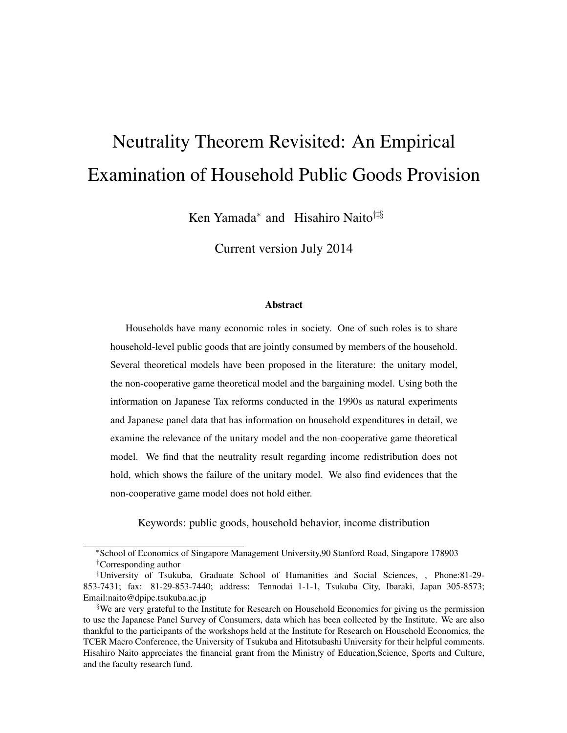# Neutrality Theorem Revisited: An Empirical Examination of Household Public Goods Provision

Ken Yamada<sup>\*</sup> and Hisahiro Naito<sup>†‡§</sup>

Current version July 2014

#### Abstract

Households have many economic roles in society. One of such roles is to share household-level public goods that are jointly consumed by members of the household. Several theoretical models have been proposed in the literature: the unitary model, the non-cooperative game theoretical model and the bargaining model. Using both the information on Japanese Tax reforms conducted in the 1990s as natural experiments and Japanese panel data that has information on household expenditures in detail, we examine the relevance of the unitary model and the non-cooperative game theoretical model. We find that the neutrality result regarding income redistribution does not hold, which shows the failure of the unitary model. We also find evidences that the non-cooperative game model does not hold either.

Keywords: public goods, household behavior, income distribution

<sup>∗</sup>School of Economics of Singapore Management University,90 Stanford Road, Singapore 178903 †Corresponding author

<sup>‡</sup>University of Tsukuba, Graduate School of Humanities and Social Sciences, , Phone:81-29- 853-7431; fax: 81-29-853-7440; address: Tennodai 1-1-1, Tsukuba City, Ibaraki, Japan 305-8573; Email:naito@dpipe.tsukuba.ac.jp

<sup>§</sup>We are very grateful to the Institute for Research on Household Economics for giving us the permission to use the Japanese Panel Survey of Consumers, data which has been collected by the Institute. We are also thankful to the participants of the workshops held at the Institute for Research on Household Economics, the TCER Macro Conference, the University of Tsukuba and Hitotsubashi University for their helpful comments. Hisahiro Naito appreciates the financial grant from the Ministry of Education,Science, Sports and Culture, and the faculty research fund.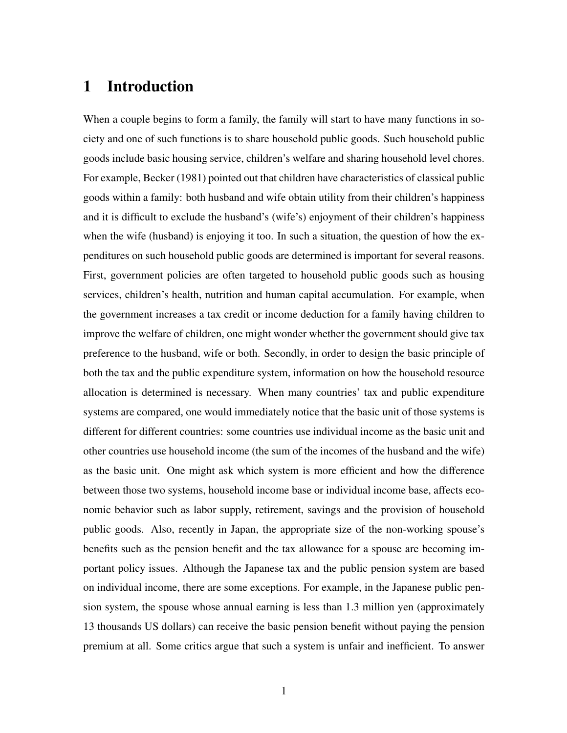## 1 Introduction

When a couple begins to form a family, the family will start to have many functions in society and one of such functions is to share household public goods. Such household public goods include basic housing service, children's welfare and sharing household level chores. For example, Becker (1981) pointed out that children have characteristics of classical public goods within a family: both husband and wife obtain utility from their children's happiness and it is difficult to exclude the husband's (wife's) enjoyment of their children's happiness when the wife (husband) is enjoying it too. In such a situation, the question of how the expenditures on such household public goods are determined is important for several reasons. First, government policies are often targeted to household public goods such as housing services, children's health, nutrition and human capital accumulation. For example, when the government increases a tax credit or income deduction for a family having children to improve the welfare of children, one might wonder whether the government should give tax preference to the husband, wife or both. Secondly, in order to design the basic principle of both the tax and the public expenditure system, information on how the household resource allocation is determined is necessary. When many countries' tax and public expenditure systems are compared, one would immediately notice that the basic unit of those systems is different for different countries: some countries use individual income as the basic unit and other countries use household income (the sum of the incomes of the husband and the wife) as the basic unit. One might ask which system is more efficient and how the difference between those two systems, household income base or individual income base, affects economic behavior such as labor supply, retirement, savings and the provision of household public goods. Also, recently in Japan, the appropriate size of the non-working spouse's benefits such as the pension benefit and the tax allowance for a spouse are becoming important policy issues. Although the Japanese tax and the public pension system are based on individual income, there are some exceptions. For example, in the Japanese public pension system, the spouse whose annual earning is less than 1.3 million yen (approximately 13 thousands US dollars) can receive the basic pension benefit without paying the pension premium at all. Some critics argue that such a system is unfair and inefficient. To answer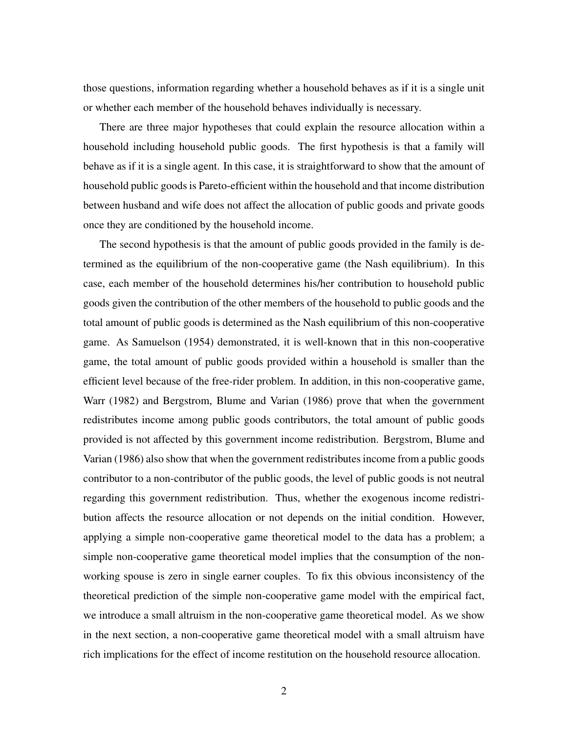those questions, information regarding whether a household behaves as if it is a single unit or whether each member of the household behaves individually is necessary.

There are three major hypotheses that could explain the resource allocation within a household including household public goods. The first hypothesis is that a family will behave as if it is a single agent. In this case, it is straightforward to show that the amount of household public goods is Pareto-efficient within the household and that income distribution between husband and wife does not affect the allocation of public goods and private goods once they are conditioned by the household income.

The second hypothesis is that the amount of public goods provided in the family is determined as the equilibrium of the non-cooperative game (the Nash equilibrium). In this case, each member of the household determines his/her contribution to household public goods given the contribution of the other members of the household to public goods and the total amount of public goods is determined as the Nash equilibrium of this non-cooperative game. As Samuelson (1954) demonstrated, it is well-known that in this non-cooperative game, the total amount of public goods provided within a household is smaller than the efficient level because of the free-rider problem. In addition, in this non-cooperative game, Warr (1982) and Bergstrom, Blume and Varian (1986) prove that when the government redistributes income among public goods contributors, the total amount of public goods provided is not affected by this government income redistribution. Bergstrom, Blume and Varian (1986) also show that when the government redistributes income from a public goods contributor to a non-contributor of the public goods, the level of public goods is not neutral regarding this government redistribution. Thus, whether the exogenous income redistribution affects the resource allocation or not depends on the initial condition. However, applying a simple non-cooperative game theoretical model to the data has a problem; a simple non-cooperative game theoretical model implies that the consumption of the nonworking spouse is zero in single earner couples. To fix this obvious inconsistency of the theoretical prediction of the simple non-cooperative game model with the empirical fact, we introduce a small altruism in the non-cooperative game theoretical model. As we show in the next section, a non-cooperative game theoretical model with a small altruism have rich implications for the effect of income restitution on the household resource allocation.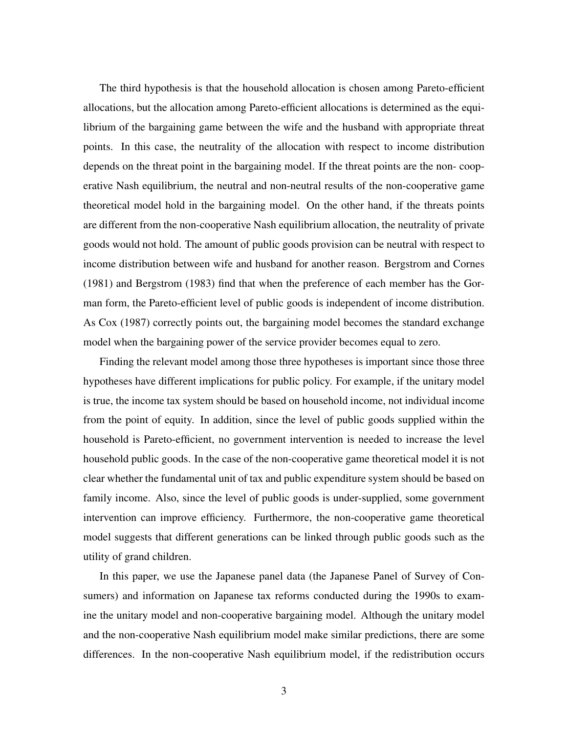The third hypothesis is that the household allocation is chosen among Pareto-efficient allocations, but the allocation among Pareto-efficient allocations is determined as the equilibrium of the bargaining game between the wife and the husband with appropriate threat points. In this case, the neutrality of the allocation with respect to income distribution depends on the threat point in the bargaining model. If the threat points are the non- cooperative Nash equilibrium, the neutral and non-neutral results of the non-cooperative game theoretical model hold in the bargaining model. On the other hand, if the threats points are different from the non-cooperative Nash equilibrium allocation, the neutrality of private goods would not hold. The amount of public goods provision can be neutral with respect to income distribution between wife and husband for another reason. Bergstrom and Cornes (1981) and Bergstrom (1983) find that when the preference of each member has the Gorman form, the Pareto-efficient level of public goods is independent of income distribution. As Cox (1987) correctly points out, the bargaining model becomes the standard exchange model when the bargaining power of the service provider becomes equal to zero.

Finding the relevant model among those three hypotheses is important since those three hypotheses have different implications for public policy. For example, if the unitary model is true, the income tax system should be based on household income, not individual income from the point of equity. In addition, since the level of public goods supplied within the household is Pareto-efficient, no government intervention is needed to increase the level household public goods. In the case of the non-cooperative game theoretical model it is not clear whether the fundamental unit of tax and public expenditure system should be based on family income. Also, since the level of public goods is under-supplied, some government intervention can improve efficiency. Furthermore, the non-cooperative game theoretical model suggests that different generations can be linked through public goods such as the utility of grand children.

In this paper, we use the Japanese panel data (the Japanese Panel of Survey of Consumers) and information on Japanese tax reforms conducted during the 1990s to examine the unitary model and non-cooperative bargaining model. Although the unitary model and the non-cooperative Nash equilibrium model make similar predictions, there are some differences. In the non-cooperative Nash equilibrium model, if the redistribution occurs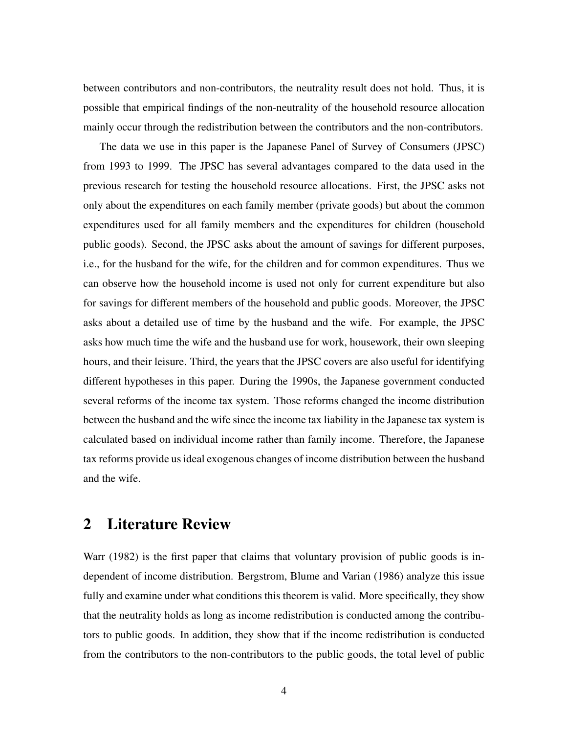between contributors and non-contributors, the neutrality result does not hold. Thus, it is possible that empirical findings of the non-neutrality of the household resource allocation mainly occur through the redistribution between the contributors and the non-contributors.

The data we use in this paper is the Japanese Panel of Survey of Consumers (JPSC) from 1993 to 1999. The JPSC has several advantages compared to the data used in the previous research for testing the household resource allocations. First, the JPSC asks not only about the expenditures on each family member (private goods) but about the common expenditures used for all family members and the expenditures for children (household public goods). Second, the JPSC asks about the amount of savings for different purposes, i.e., for the husband for the wife, for the children and for common expenditures. Thus we can observe how the household income is used not only for current expenditure but also for savings for different members of the household and public goods. Moreover, the JPSC asks about a detailed use of time by the husband and the wife. For example, the JPSC asks how much time the wife and the husband use for work, housework, their own sleeping hours, and their leisure. Third, the years that the JPSC covers are also useful for identifying different hypotheses in this paper. During the 1990s, the Japanese government conducted several reforms of the income tax system. Those reforms changed the income distribution between the husband and the wife since the income tax liability in the Japanese tax system is calculated based on individual income rather than family income. Therefore, the Japanese tax reforms provide us ideal exogenous changes of income distribution between the husband and the wife.

## 2 Literature Review

Warr (1982) is the first paper that claims that voluntary provision of public goods is independent of income distribution. Bergstrom, Blume and Varian (1986) analyze this issue fully and examine under what conditions this theorem is valid. More specifically, they show that the neutrality holds as long as income redistribution is conducted among the contributors to public goods. In addition, they show that if the income redistribution is conducted from the contributors to the non-contributors to the public goods, the total level of public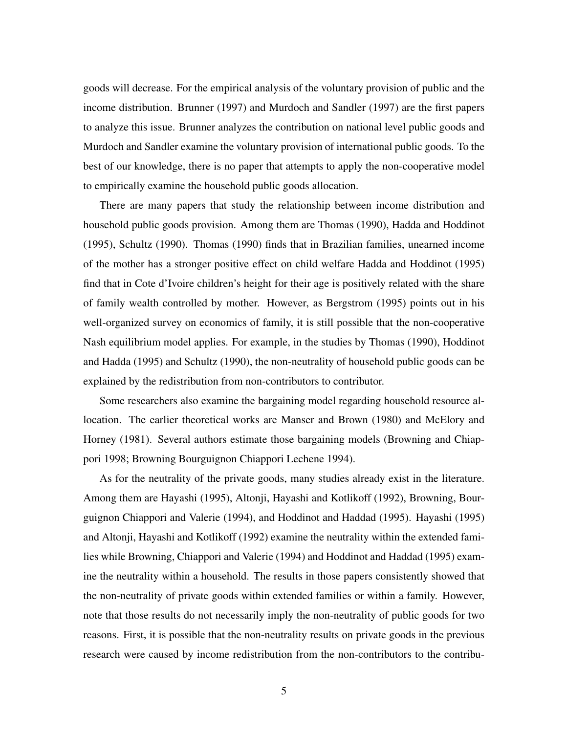goods will decrease. For the empirical analysis of the voluntary provision of public and the income distribution. Brunner (1997) and Murdoch and Sandler (1997) are the first papers to analyze this issue. Brunner analyzes the contribution on national level public goods and Murdoch and Sandler examine the voluntary provision of international public goods. To the best of our knowledge, there is no paper that attempts to apply the non-cooperative model to empirically examine the household public goods allocation.

There are many papers that study the relationship between income distribution and household public goods provision. Among them are Thomas (1990), Hadda and Hoddinot (1995), Schultz (1990). Thomas (1990) finds that in Brazilian families, unearned income of the mother has a stronger positive effect on child welfare Hadda and Hoddinot (1995) find that in Cote d'Ivoire children's height for their age is positively related with the share of family wealth controlled by mother. However, as Bergstrom (1995) points out in his well-organized survey on economics of family, it is still possible that the non-cooperative Nash equilibrium model applies. For example, in the studies by Thomas (1990), Hoddinot and Hadda (1995) and Schultz (1990), the non-neutrality of household public goods can be explained by the redistribution from non-contributors to contributor.

Some researchers also examine the bargaining model regarding household resource allocation. The earlier theoretical works are Manser and Brown (1980) and McElory and Horney (1981). Several authors estimate those bargaining models (Browning and Chiappori 1998; Browning Bourguignon Chiappori Lechene 1994).

As for the neutrality of the private goods, many studies already exist in the literature. Among them are Hayashi (1995), Altonji, Hayashi and Kotlikoff (1992), Browning, Bourguignon Chiappori and Valerie (1994), and Hoddinot and Haddad (1995). Hayashi (1995) and Altonji, Hayashi and Kotlikoff (1992) examine the neutrality within the extended families while Browning, Chiappori and Valerie (1994) and Hoddinot and Haddad (1995) examine the neutrality within a household. The results in those papers consistently showed that the non-neutrality of private goods within extended families or within a family. However, note that those results do not necessarily imply the non-neutrality of public goods for two reasons. First, it is possible that the non-neutrality results on private goods in the previous research were caused by income redistribution from the non-contributors to the contribu-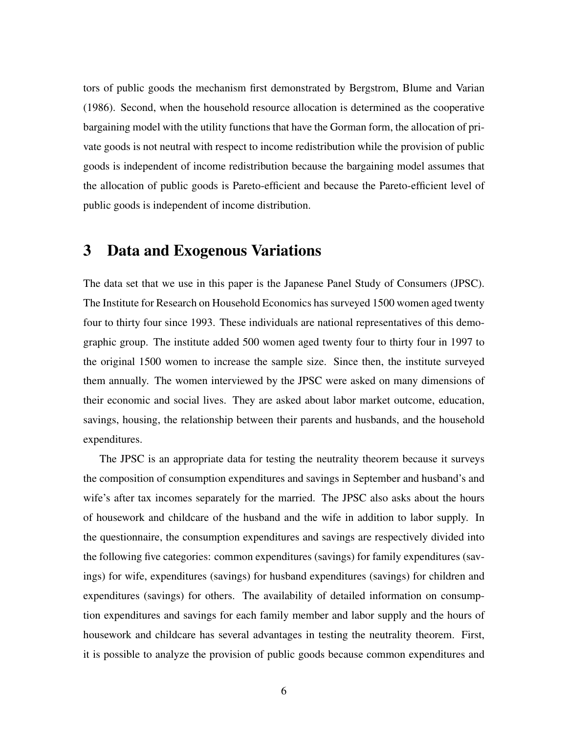tors of public goods the mechanism first demonstrated by Bergstrom, Blume and Varian (1986). Second, when the household resource allocation is determined as the cooperative bargaining model with the utility functions that have the Gorman form, the allocation of private goods is not neutral with respect to income redistribution while the provision of public goods is independent of income redistribution because the bargaining model assumes that the allocation of public goods is Pareto-efficient and because the Pareto-efficient level of public goods is independent of income distribution.

## 3 Data and Exogenous Variations

The data set that we use in this paper is the Japanese Panel Study of Consumers (JPSC). The Institute for Research on Household Economics has surveyed 1500 women aged twenty four to thirty four since 1993. These individuals are national representatives of this demographic group. The institute added 500 women aged twenty four to thirty four in 1997 to the original 1500 women to increase the sample size. Since then, the institute surveyed them annually. The women interviewed by the JPSC were asked on many dimensions of their economic and social lives. They are asked about labor market outcome, education, savings, housing, the relationship between their parents and husbands, and the household expenditures.

The JPSC is an appropriate data for testing the neutrality theorem because it surveys the composition of consumption expenditures and savings in September and husband's and wife's after tax incomes separately for the married. The JPSC also asks about the hours of housework and childcare of the husband and the wife in addition to labor supply. In the questionnaire, the consumption expenditures and savings are respectively divided into the following five categories: common expenditures (savings) for family expenditures (savings) for wife, expenditures (savings) for husband expenditures (savings) for children and expenditures (savings) for others. The availability of detailed information on consumption expenditures and savings for each family member and labor supply and the hours of housework and childcare has several advantages in testing the neutrality theorem. First, it is possible to analyze the provision of public goods because common expenditures and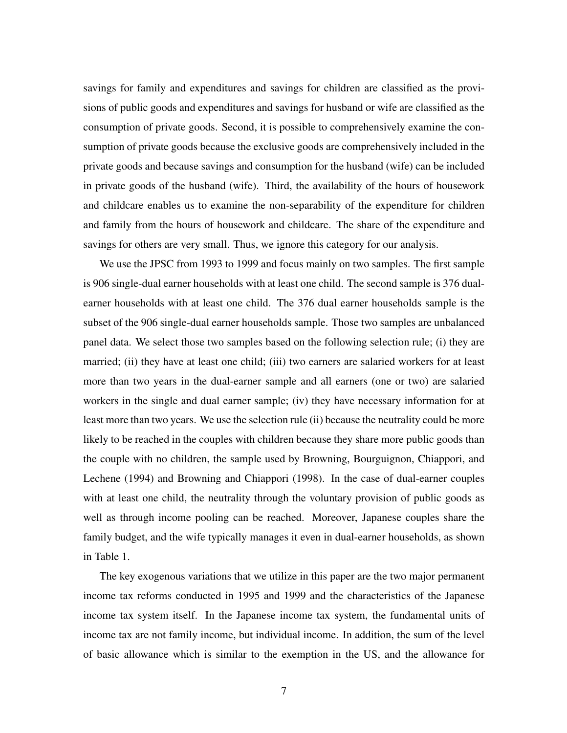savings for family and expenditures and savings for children are classified as the provisions of public goods and expenditures and savings for husband or wife are classified as the consumption of private goods. Second, it is possible to comprehensively examine the consumption of private goods because the exclusive goods are comprehensively included in the private goods and because savings and consumption for the husband (wife) can be included in private goods of the husband (wife). Third, the availability of the hours of housework and childcare enables us to examine the non-separability of the expenditure for children and family from the hours of housework and childcare. The share of the expenditure and savings for others are very small. Thus, we ignore this category for our analysis.

We use the JPSC from 1993 to 1999 and focus mainly on two samples. The first sample is 906 single-dual earner households with at least one child. The second sample is 376 dualearner households with at least one child. The 376 dual earner households sample is the subset of the 906 single-dual earner households sample. Those two samples are unbalanced panel data. We select those two samples based on the following selection rule; (i) they are married; (ii) they have at least one child; (iii) two earners are salaried workers for at least more than two years in the dual-earner sample and all earners (one or two) are salaried workers in the single and dual earner sample; (iv) they have necessary information for at least more than two years. We use the selection rule (ii) because the neutrality could be more likely to be reached in the couples with children because they share more public goods than the couple with no children, the sample used by Browning, Bourguignon, Chiappori, and Lechene (1994) and Browning and Chiappori (1998). In the case of dual-earner couples with at least one child, the neutrality through the voluntary provision of public goods as well as through income pooling can be reached. Moreover, Japanese couples share the family budget, and the wife typically manages it even in dual-earner households, as shown in Table 1.

The key exogenous variations that we utilize in this paper are the two major permanent income tax reforms conducted in 1995 and 1999 and the characteristics of the Japanese income tax system itself. In the Japanese income tax system, the fundamental units of income tax are not family income, but individual income. In addition, the sum of the level of basic allowance which is similar to the exemption in the US, and the allowance for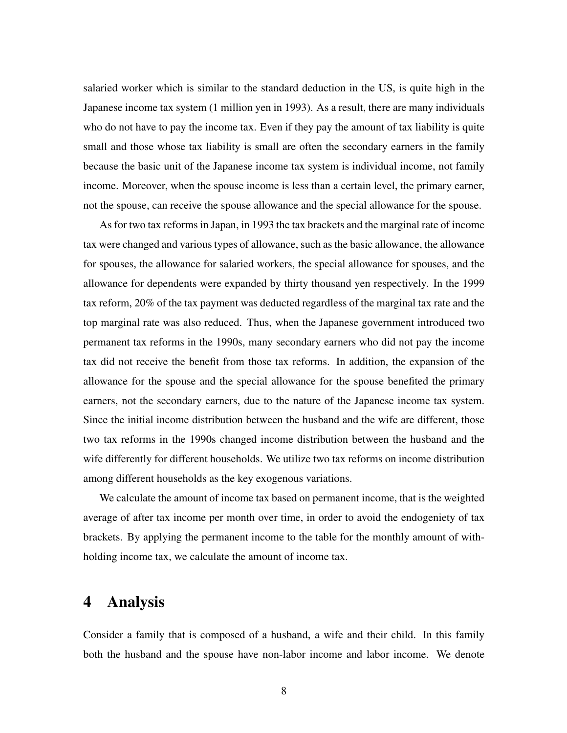salaried worker which is similar to the standard deduction in the US, is quite high in the Japanese income tax system (1 million yen in 1993). As a result, there are many individuals who do not have to pay the income tax. Even if they pay the amount of tax liability is quite small and those whose tax liability is small are often the secondary earners in the family because the basic unit of the Japanese income tax system is individual income, not family income. Moreover, when the spouse income is less than a certain level, the primary earner, not the spouse, can receive the spouse allowance and the special allowance for the spouse.

As for two tax reforms in Japan, in 1993 the tax brackets and the marginal rate of income tax were changed and various types of allowance, such as the basic allowance, the allowance for spouses, the allowance for salaried workers, the special allowance for spouses, and the allowance for dependents were expanded by thirty thousand yen respectively. In the 1999 tax reform, 20% of the tax payment was deducted regardless of the marginal tax rate and the top marginal rate was also reduced. Thus, when the Japanese government introduced two permanent tax reforms in the 1990s, many secondary earners who did not pay the income tax did not receive the benefit from those tax reforms. In addition, the expansion of the allowance for the spouse and the special allowance for the spouse benefited the primary earners, not the secondary earners, due to the nature of the Japanese income tax system. Since the initial income distribution between the husband and the wife are different, those two tax reforms in the 1990s changed income distribution between the husband and the wife differently for different households. We utilize two tax reforms on income distribution among different households as the key exogenous variations.

We calculate the amount of income tax based on permanent income, that is the weighted average of after tax income per month over time, in order to avoid the endogeniety of tax brackets. By applying the permanent income to the table for the monthly amount of withholding income tax, we calculate the amount of income tax.

## 4 Analysis

Consider a family that is composed of a husband, a wife and their child. In this family both the husband and the spouse have non-labor income and labor income. We denote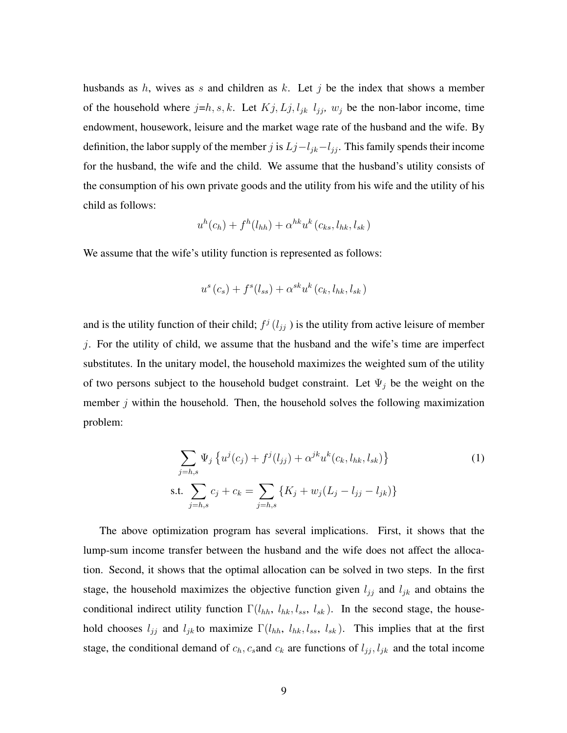husbands as  $h$ , wives as s and children as  $k$ . Let  $j$  be the index that shows a member of the household where  $j=h, s, k$ . Let  $Kj, Lj, l_{jk}$   $l_{jj}$ ,  $w_j$  be the non-labor income, time endowment, housework, leisure and the market wage rate of the husband and the wife. By definition, the labor supply of the member j is  $L_j-l_{jk}-l_{jj}$ . This family spends their income for the husband, the wife and the child. We assume that the husband's utility consists of the consumption of his own private goods and the utility from his wife and the utility of his child as follows:

$$
u^h(c_h) + f^h(l_{hh}) + \alpha^{hk} u^k(c_{ks}, l_{hk}, l_{sk})
$$

We assume that the wife's utility function is represented as follows:

$$
u^{s}(c_s) + f^{s}(l_{ss}) + \alpha^{sk} u^{k}(c_k, l_{hk}, l_{sk})
$$

and is the utility function of their child;  $f^j(l_{jj})$  is the utility from active leisure of member j. For the utility of child, we assume that the husband and the wife's time are imperfect substitutes. In the unitary model, the household maximizes the weighted sum of the utility of two persons subject to the household budget constraint. Let  $\Psi_j$  be the weight on the member  $j$  within the household. Then, the household solves the following maximization problem:

$$
\sum_{j=h,s} \Psi_j \left\{ u^j(c_j) + f^j(l_{jj}) + \alpha^{jk} u^k(c_k, l_{hk}, l_{sk}) \right\}
$$
\ns.t. 
$$
\sum_{j=h,s} c_j + c_k = \sum_{j=h,s} \left\{ K_j + w_j(L_j - l_{jj} - l_{jk}) \right\}
$$
\n(1)

The above optimization program has several implications. First, it shows that the lump-sum income transfer between the husband and the wife does not affect the allocation. Second, it shows that the optimal allocation can be solved in two steps. In the first stage, the household maximizes the objective function given  $l_{jj}$  and  $l_{jk}$  and obtains the conditional indirect utility function  $\Gamma(l_{hh}, l_{hk}, l_{ss}, l_{sk})$ . In the second stage, the household chooses  $l_{jj}$  and  $l_{jk}$  to maximize  $\Gamma(l_{hh}, l_{hk}, l_{ss}, l_{sk})$ . This implies that at the first stage, the conditional demand of  $c_h$ ,  $c_s$  and  $c_k$  are functions of  $l_{jj}$ ,  $l_{jk}$  and the total income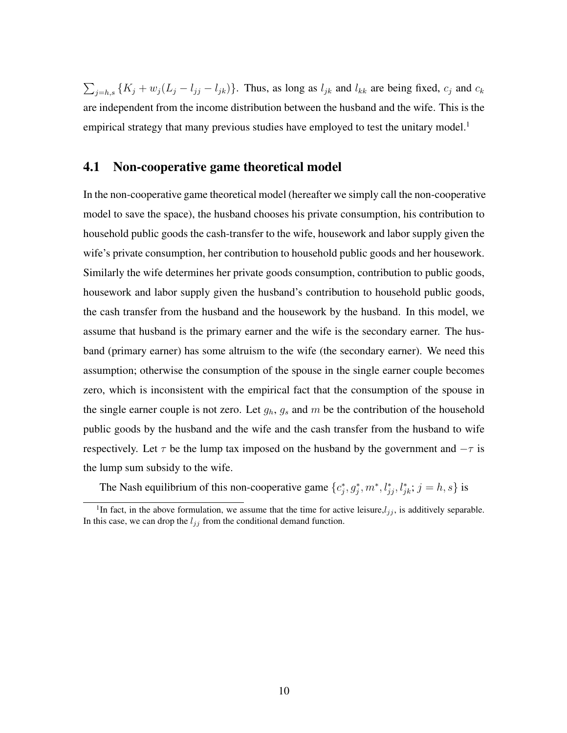$\sum_{j=h,s} \{K_j + w_j (L_j - l_{jj} - l_{jk})\}$ . Thus, as long as  $l_{jk}$  and  $l_{kk}$  are being fixed,  $c_j$  and  $c_k$ are independent from the income distribution between the husband and the wife. This is the empirical strategy that many previous studies have employed to test the unitary model.<sup>1</sup>

#### 4.1 Non-cooperative game theoretical model

In the non-cooperative game theoretical model (hereafter we simply call the non-cooperative model to save the space), the husband chooses his private consumption, his contribution to household public goods the cash-transfer to the wife, housework and labor supply given the wife's private consumption, her contribution to household public goods and her housework. Similarly the wife determines her private goods consumption, contribution to public goods, housework and labor supply given the husband's contribution to household public goods, the cash transfer from the husband and the housework by the husband. In this model, we assume that husband is the primary earner and the wife is the secondary earner. The husband (primary earner) has some altruism to the wife (the secondary earner). We need this assumption; otherwise the consumption of the spouse in the single earner couple becomes zero, which is inconsistent with the empirical fact that the consumption of the spouse in the single earner couple is not zero. Let  $g_h$ ,  $g_s$  and m be the contribution of the household public goods by the husband and the wife and the cash transfer from the husband to wife respectively. Let  $\tau$  be the lump tax imposed on the husband by the government and  $-\tau$  is the lump sum subsidy to the wife.

The Nash equilibrium of this non-cooperative game  $\{c_j^*, g_j^*, m^*, l_{jj}^*, l_{jk}^*, j = h, s\}$  is

<sup>&</sup>lt;sup>1</sup>In fact, in the above formulation, we assume that the time for active leisure, $l_{jj}$ , is additively separable. In this case, we can drop the  $l_{jj}$  from the conditional demand function.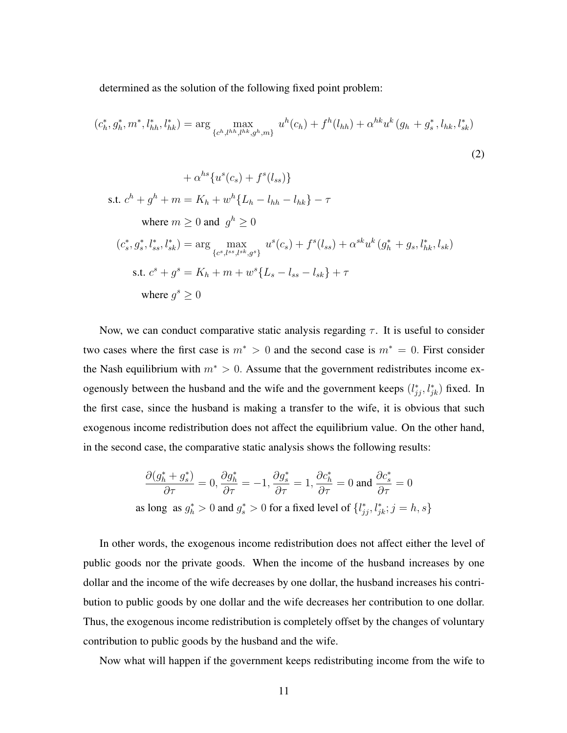determined as the solution of the following fixed point problem:

$$
(c_h^*, g_h^*, m^*, l_{hh}^*, l_{hk}^*) = \arg \max_{\{c^h, l^{hh}, l^{hk}, g^h, m\}} u^h(c_h) + f^h(l_{hh}) + \alpha^{hk} u^k(g_h + g_s^*, l_{hk}, l_{sk}^*)
$$
  
+  $\alpha^{hs} \{u^s(c_s) + f^s(l_{ss})\}$   
12)  
14 $\alpha^{hs} \{u^s(c_s) + f^s(l_{ss})\}$   
15.1.  $c^h + g^h + m = K_h + w^h \{L_h - l_{hh} - l_{hk}\} - \tau$   
where  $m \ge 0$  and  $g^h \ge 0$   
 $(c_s^*, g_s^*, l_{ss}^*, l_{sk}^*) = \arg \max_{\{c_s, l_{ss}^*, l_{ss}^*, g^s\}} u^s(c_s) + f^s(l_{ss}) + \alpha^{sk} u^k(g_h^* + g_s, l_{hk}^*, l_{sk})$   
15.1.  $c^s + g^s = K_h + m + w^s \{L_s - l_{ss} - l_{sk}\} + \tau$   
where  $g^s \ge 0$ 

Now, we can conduct comparative static analysis regarding  $\tau$ . It is useful to consider two cases where the first case is  $m^* > 0$  and the second case is  $m^* = 0$ . First consider the Nash equilibrium with  $m^* > 0$ . Assume that the government redistributes income exogenously between the husband and the wife and the government keeps  $(l_{jj}^*, l_{jk}^*)$  fixed. In the first case, since the husband is making a transfer to the wife, it is obvious that such exogenous income redistribution does not affect the equilibrium value. On the other hand, in the second case, the comparative static analysis shows the following results:

$$
\frac{\partial (g_h^* + g_s^*)}{\partial \tau} = 0, \frac{\partial g_h^*}{\partial \tau} = -1, \frac{\partial g_s^*}{\partial \tau} = 1, \frac{\partial c_h^*}{\partial \tau} = 0 \text{ and } \frac{\partial c_s^*}{\partial \tau} = 0
$$
  
as long as  $g_h^* > 0$  and  $g_s^* > 0$  for a fixed level of  $\{l_{jj}^*, l_{jk}^*, j = h, s\}$ 

In other words, the exogenous income redistribution does not affect either the level of public goods nor the private goods. When the income of the husband increases by one dollar and the income of the wife decreases by one dollar, the husband increases his contribution to public goods by one dollar and the wife decreases her contribution to one dollar. Thus, the exogenous income redistribution is completely offset by the changes of voluntary contribution to public goods by the husband and the wife.

Now what will happen if the government keeps redistributing income from the wife to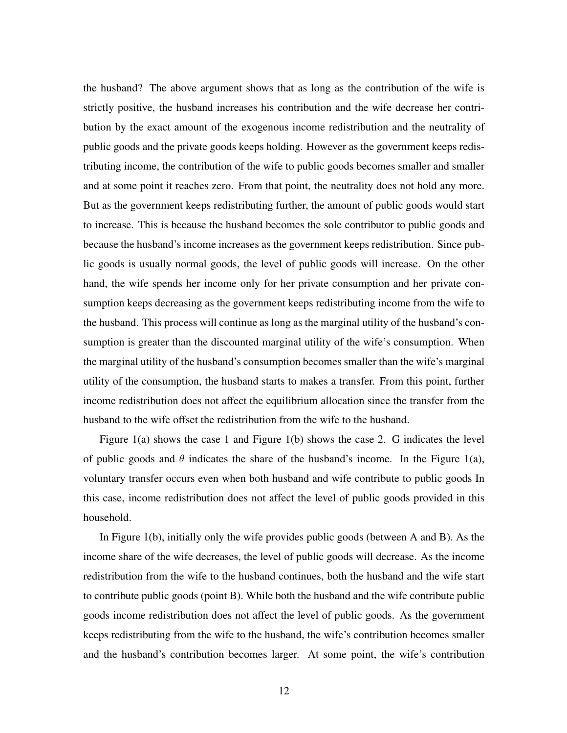the husband? The above argument shows that as long as the contribution of the wife is strictly positive, the husband increases his contribution and the wife decrease her contribution by the exact amount of the exogenous income redistribution and the neutrality of public goods and the private goods keeps holding. However as the government keeps redistributing income, the contribution of the wife to public goods becomes smaller and smaller and at some point it reaches zero. From that point, the neutrality does not hold any more. But as the government keeps redistributing further, the amount of public goods would start to increase. This is because the husband becomes the sole contributor to public goods and because the husband's income increases as the government keeps redistribution. Since public goods is usually normal goods, the level of public goods will increase. On the other hand, the wife spends her income only for her private consumption and her private consumption keeps decreasing as the government keeps redistributing income from the wife to the husband. This process will continue as long as the marginal utility of the husband's consumption is greater than the discounted marginal utility of the wife's consumption. When the marginal utility of the husband's consumption becomes smaller than the wife's marginal utility of the consumption, the husband starts to makes a transfer. From this point, further income redistribution does not affect the equilibrium allocation since the transfer from the husband to the wife offset the redistribution from the wife to the husband.

Figure 1(a) shows the case 1 and Figure 1(b) shows the case 2. G indicates the level of public goods and  $\theta$  indicates the share of the husband's income. In the Figure 1(a), voluntary transfer occurs even when both husband and wife contribute to public goods In this case, income redistribution does not affect the level of public goods provided in this household.

In Figure 1(b), initially only the wife provides public goods (between A and B). As the income share of the wife decreases, the level of public goods will decrease. As the income redistribution from the wife to the husband continues, both the husband and the wife start to contribute public goods (point B). While both the husband and the wife contribute public goods income redistribution does not affect the level of public goods. As the government keeps redistributing from the wife to the husband, the wife's contribution becomes smaller and the husband's contribution becomes larger. At some point, the wife's contribution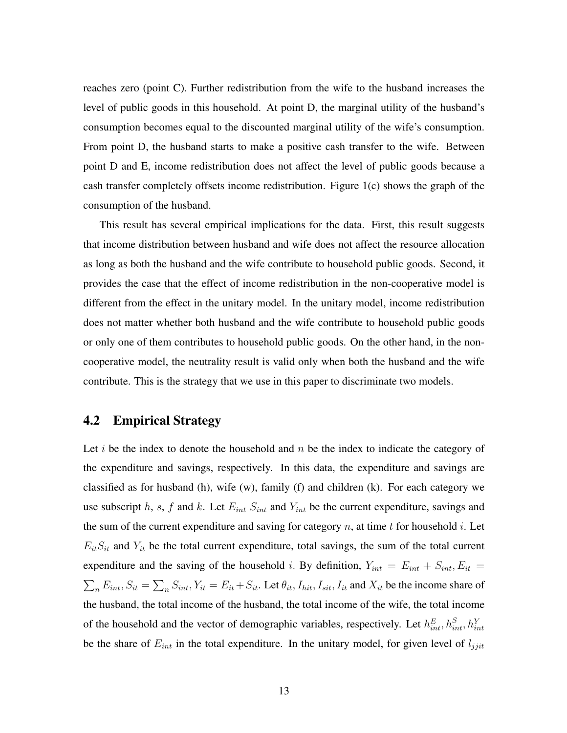reaches zero (point C). Further redistribution from the wife to the husband increases the level of public goods in this household. At point D, the marginal utility of the husband's consumption becomes equal to the discounted marginal utility of the wife's consumption. From point D, the husband starts to make a positive cash transfer to the wife. Between point D and E, income redistribution does not affect the level of public goods because a cash transfer completely offsets income redistribution. Figure 1(c) shows the graph of the consumption of the husband.

This result has several empirical implications for the data. First, this result suggests that income distribution between husband and wife does not affect the resource allocation as long as both the husband and the wife contribute to household public goods. Second, it provides the case that the effect of income redistribution in the non-cooperative model is different from the effect in the unitary model. In the unitary model, income redistribution does not matter whether both husband and the wife contribute to household public goods or only one of them contributes to household public goods. On the other hand, in the noncooperative model, the neutrality result is valid only when both the husband and the wife contribute. This is the strategy that we use in this paper to discriminate two models.

#### 4.2 Empirical Strategy

Let i be the index to denote the household and  $n$  be the index to indicate the category of the expenditure and savings, respectively. In this data, the expenditure and savings are classified as for husband (h), wife (w), family (f) and children (k). For each category we use subscript h, s, f and k. Let  $E_{int} S_{int}$  and  $Y_{int}$  be the current expenditure, savings and the sum of the current expenditure and saving for category n, at time t for household i. Let  $E_{it}S_{it}$  and  $Y_{it}$  be the total current expenditure, total savings, the sum of the total current expenditure and the saving of the household *i*. By definition,  $Y_{int} = E_{int} + S_{int}$ ,  $E_{it} =$  $\sum_{n} E_{int}, S_{it} = \sum_{n} S_{int}, Y_{it} = E_{it} + S_{it}$ . Let  $\theta_{it}, I_{hit}, I_{sit}, I_{it}$  and  $X_{it}$  be the income share of the husband, the total income of the husband, the total income of the wife, the total income of the household and the vector of demographic variables, respectively. Let  $h_{int}^{E}$ ,  $h_{int}^{S}$ ,  $h_{int}^{Y}$ be the share of  $E_{int}$  in the total expenditure. In the unitary model, for given level of  $l_{jjit}$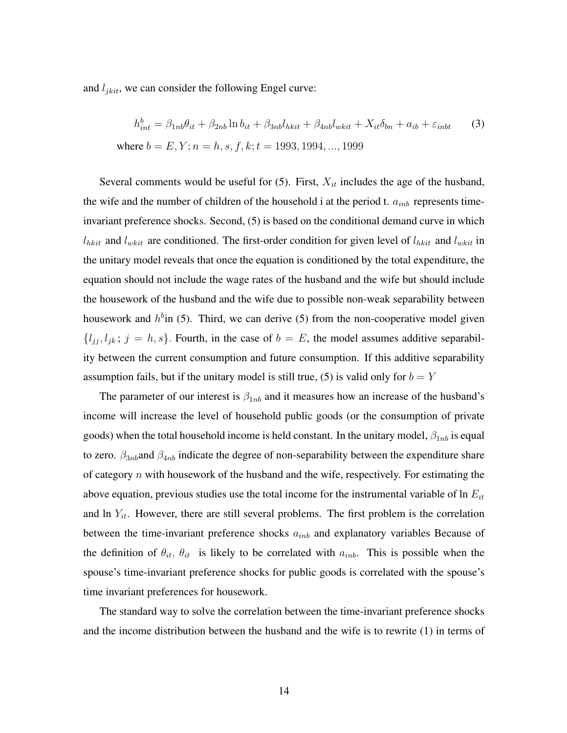and  $l_{jkit}$ , we can consider the following Engel curve:

$$
h_{int}^{b} = \beta_{1nb}\theta_{it} + \beta_{2nb}\ln b_{it} + \beta_{3nb}l_{nkit} + \beta_{4nb}l_{wkit} + X_{it}\delta_{bn} + a_{ib} + \varepsilon_{inbt}
$$
 (3)  
where  $b = E, Y; n = h, s, f, k; t = 1993, 1994, ..., 1999$ 

Several comments would be useful for  $(5)$ . First,  $X_{it}$  includes the age of the husband, the wife and the number of children of the household i at the period t.  $a_{inb}$  represents timeinvariant preference shocks. Second, (5) is based on the conditional demand curve in which  $l_{nkit}$  and  $l_{wkit}$  are conditioned. The first-order condition for given level of  $l_{nkit}$  and  $l_{wkit}$  in the unitary model reveals that once the equation is conditioned by the total expenditure, the equation should not include the wage rates of the husband and the wife but should include the housework of the husband and the wife due to possible non-weak separability between housework and  $h^b$ in (5). Third, we can derive (5) from the non-cooperative model given  ${l_{jj}, l_{jk}; j = h, s}$ . Fourth, in the case of  $b = E$ , the model assumes additive separability between the current consumption and future consumption. If this additive separability assumption fails, but if the unitary model is still true, (5) is valid only for  $b = Y$ 

The parameter of our interest is  $\beta_{1nb}$  and it measures how an increase of the husband's income will increase the level of household public goods (or the consumption of private goods) when the total household income is held constant. In the unitary model,  $\beta_{1nb}$  is equal to zero.  $\beta_{3nb}$  and  $\beta_{4nb}$  indicate the degree of non-separability between the expenditure share of category  $n$  with housework of the husband and the wife, respectively. For estimating the above equation, previous studies use the total income for the instrumental variable of  $\ln E_{it}$ and ln  $Y_{it}$ . However, there are still several problems. The first problem is the correlation between the time-invariant preference shocks  $a_{inb}$  and explanatory variables Because of the definition of  $\theta_{it}$ ,  $\theta_{it}$  is likely to be correlated with  $a_{inb}$ . This is possible when the spouse's time-invariant preference shocks for public goods is correlated with the spouse's time invariant preferences for housework.

The standard way to solve the correlation between the time-invariant preference shocks and the income distribution between the husband and the wife is to rewrite (1) in terms of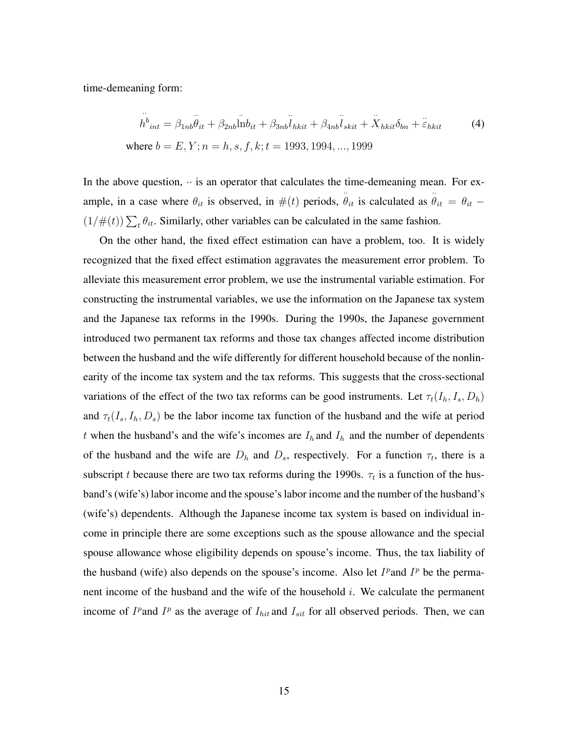time-demeaning form:

$$
\dot{h}_{int}^{b} = \beta_{1nb}\ddot{\theta}_{it} + \beta_{2nb}\text{ln}b_{it} + \beta_{3nb}\ddot{l}_{nkit} + \beta_{4nb}\ddot{l}_{skit} + \ddot{X}_{nkit}\delta_{bn} + \ddot{\varepsilon}_{nkit}
$$
\n(4)  
\nwhere  $b = E, Y; n = h, s, f, k; t = 1993, 1994, ..., 1999$ 

In the above question,  $\cdot \cdot$  is an operator that calculates the time-demeaning mean. For example, in a case where  $\theta_{it}$  is observed, in  $\#(t)$  periods,  $\ddot{\theta}_{it}$  is calculated as  $\ddot{\theta}_{it} = \theta_{it}$  –  $(1/\#(t))\sum_t \theta_{it}$ . Similarly, other variables can be calculated in the same fashion.

On the other hand, the fixed effect estimation can have a problem, too. It is widely recognized that the fixed effect estimation aggravates the measurement error problem. To alleviate this measurement error problem, we use the instrumental variable estimation. For constructing the instrumental variables, we use the information on the Japanese tax system and the Japanese tax reforms in the 1990s. During the 1990s, the Japanese government introduced two permanent tax reforms and those tax changes affected income distribution between the husband and the wife differently for different household because of the nonlinearity of the income tax system and the tax reforms. This suggests that the cross-sectional variations of the effect of the two tax reforms can be good instruments. Let  $\tau_t(I_h, I_s, D_h)$ and  $\tau_t(I_s, I_h, D_s)$  be the labor income tax function of the husband and the wife at period t when the husband's and the wife's incomes are  $I_h$  and  $I_h$  and the number of dependents of the husband and the wife are  $D_h$  and  $D_s$ , respectively. For a function  $\tau_t$ , there is a subscript t because there are two tax reforms during the 1990s.  $\tau_t$  is a function of the husband's (wife's) labor income and the spouse's labor income and the number of the husband's (wife's) dependents. Although the Japanese income tax system is based on individual income in principle there are some exceptions such as the spouse allowance and the special spouse allowance whose eligibility depends on spouse's income. Thus, the tax liability of the husband (wife) also depends on the spouse's income. Also let  $I^p$  and  $I^p$  be the permanent income of the husband and the wife of the household i. We calculate the permanent income of  $I^p$  and  $I^p$  as the average of  $I_{hit}$  and  $I_{sit}$  for all observed periods. Then, we can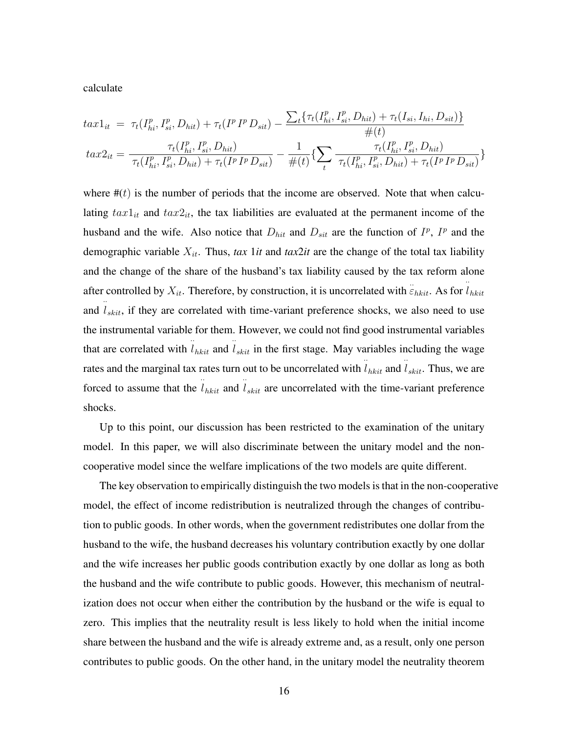calculate

$$
tax1_{it} = \tau_t(I_{hi}^p, I_{si}^p, D_{hit}) + \tau_t(I^p I^p D_{sit}) - \frac{\sum_t \{\tau_t(I_{hi}^p, I_{si}^p, D_{hit}) + \tau_t(I_{si}, I_{hi}, D_{sit})\}}{\#(t)} tax2_{it} = \frac{\tau_t(I_{hi}^p, I_{si}^p, D_{hit})}{\tau_t(I_{hi}^p, I_{si}^p, D_{hit}) + \tau_t(I^p I^p D_{sit})} - \frac{1}{\#(t)} \{\sum_t \frac{\tau_t(I_{hi}^p, I_{si}^p, D_{hit})}{\tau_t(I_{hi}^p, I_{si}^p, D_{hit}) + \tau_t(I^p I^p D_{sit})}\}
$$

where  $#(t)$  is the number of periods that the income are observed. Note that when calculating  $tax1<sub>it</sub>$  and  $tax2<sub>it</sub>$ , the tax liabilities are evaluated at the permanent income of the husband and the wife. Also notice that  $D_{hit}$  and  $D_{sit}$  are the function of  $I^p$ ,  $I^p$  and the demographic variable  $X_{it}$ . Thus, *tax* 1*it* and *tax2it* are the change of the total tax liability and the change of the share of the husband's tax liability caused by the tax reform alone after controlled by  $X_{it}$ . Therefore, by construction, it is uncorrelated with  $\ddot{\varepsilon}_{hkit}$ . As for  $\ddot{l}_{hkit}$ and  $\hat{l}_{skit}$ , if they are correlated with time-variant preference shocks, we also need to use the instrumental variable for them. However, we could not find good instrumental variables that are correlated with  $\hat{l}_{hkit}$  and  $\hat{l}_{skit}$  in the first stage. May variables including the wage rates and the marginal tax rates turn out to be uncorrelated with  $\hat{l}_{hkit}$  and  $\hat{l}_{skit}$ . Thus, we are forced to assume that the  $\ddot{i}_{hkit}$  and  $\ddot{i}_{skit}$  are uncorrelated with the time-variant preference shocks.

Up to this point, our discussion has been restricted to the examination of the unitary model. In this paper, we will also discriminate between the unitary model and the noncooperative model since the welfare implications of the two models are quite different.

The key observation to empirically distinguish the two models is that in the non-cooperative model, the effect of income redistribution is neutralized through the changes of contribution to public goods. In other words, when the government redistributes one dollar from the husband to the wife, the husband decreases his voluntary contribution exactly by one dollar and the wife increases her public goods contribution exactly by one dollar as long as both the husband and the wife contribute to public goods. However, this mechanism of neutralization does not occur when either the contribution by the husband or the wife is equal to zero. This implies that the neutrality result is less likely to hold when the initial income share between the husband and the wife is already extreme and, as a result, only one person contributes to public goods. On the other hand, in the unitary model the neutrality theorem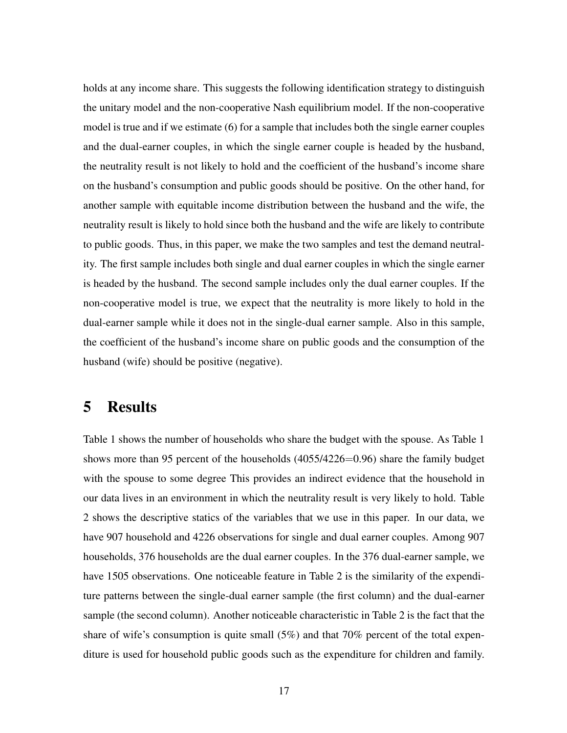holds at any income share. This suggests the following identification strategy to distinguish the unitary model and the non-cooperative Nash equilibrium model. If the non-cooperative model is true and if we estimate (6) for a sample that includes both the single earner couples and the dual-earner couples, in which the single earner couple is headed by the husband, the neutrality result is not likely to hold and the coefficient of the husband's income share on the husband's consumption and public goods should be positive. On the other hand, for another sample with equitable income distribution between the husband and the wife, the neutrality result is likely to hold since both the husband and the wife are likely to contribute to public goods. Thus, in this paper, we make the two samples and test the demand neutrality. The first sample includes both single and dual earner couples in which the single earner is headed by the husband. The second sample includes only the dual earner couples. If the non-cooperative model is true, we expect that the neutrality is more likely to hold in the dual-earner sample while it does not in the single-dual earner sample. Also in this sample, the coefficient of the husband's income share on public goods and the consumption of the husband (wife) should be positive (negative).

### 5 Results

Table 1 shows the number of households who share the budget with the spouse. As Table 1 shows more than 95 percent of the households  $(4055/4226=0.96)$  share the family budget with the spouse to some degree This provides an indirect evidence that the household in our data lives in an environment in which the neutrality result is very likely to hold. Table 2 shows the descriptive statics of the variables that we use in this paper. In our data, we have 907 household and 4226 observations for single and dual earner couples. Among 907 households, 376 households are the dual earner couples. In the 376 dual-earner sample, we have 1505 observations. One noticeable feature in Table 2 is the similarity of the expenditure patterns between the single-dual earner sample (the first column) and the dual-earner sample (the second column). Another noticeable characteristic in Table 2 is the fact that the share of wife's consumption is quite small (5%) and that 70% percent of the total expenditure is used for household public goods such as the expenditure for children and family.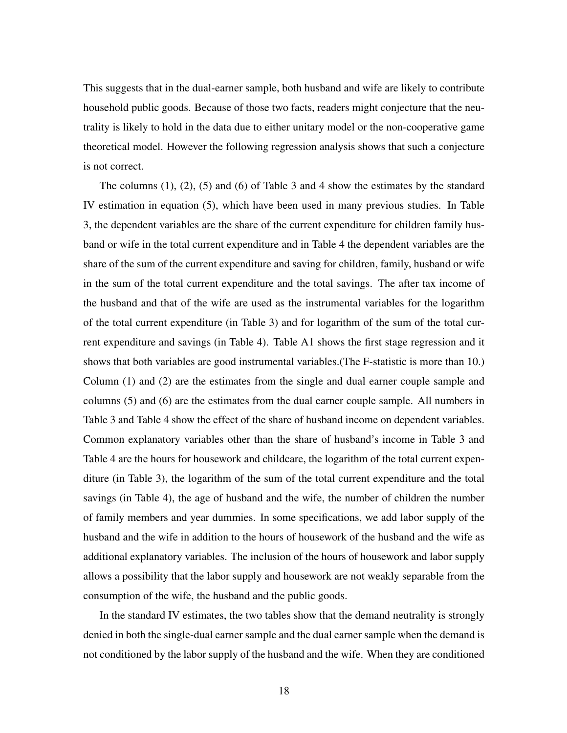This suggests that in the dual-earner sample, both husband and wife are likely to contribute household public goods. Because of those two facts, readers might conjecture that the neutrality is likely to hold in the data due to either unitary model or the non-cooperative game theoretical model. However the following regression analysis shows that such a conjecture is not correct.

The columns (1), (2), (5) and (6) of Table 3 and 4 show the estimates by the standard IV estimation in equation (5), which have been used in many previous studies. In Table 3, the dependent variables are the share of the current expenditure for children family husband or wife in the total current expenditure and in Table 4 the dependent variables are the share of the sum of the current expenditure and saving for children, family, husband or wife in the sum of the total current expenditure and the total savings. The after tax income of the husband and that of the wife are used as the instrumental variables for the logarithm of the total current expenditure (in Table 3) and for logarithm of the sum of the total current expenditure and savings (in Table 4). Table A1 shows the first stage regression and it shows that both variables are good instrumental variables.(The F-statistic is more than 10.) Column (1) and (2) are the estimates from the single and dual earner couple sample and columns (5) and (6) are the estimates from the dual earner couple sample. All numbers in Table 3 and Table 4 show the effect of the share of husband income on dependent variables. Common explanatory variables other than the share of husband's income in Table 3 and Table 4 are the hours for housework and childcare, the logarithm of the total current expenditure (in Table 3), the logarithm of the sum of the total current expenditure and the total savings (in Table 4), the age of husband and the wife, the number of children the number of family members and year dummies. In some specifications, we add labor supply of the husband and the wife in addition to the hours of housework of the husband and the wife as additional explanatory variables. The inclusion of the hours of housework and labor supply allows a possibility that the labor supply and housework are not weakly separable from the consumption of the wife, the husband and the public goods.

In the standard IV estimates, the two tables show that the demand neutrality is strongly denied in both the single-dual earner sample and the dual earner sample when the demand is not conditioned by the labor supply of the husband and the wife. When they are conditioned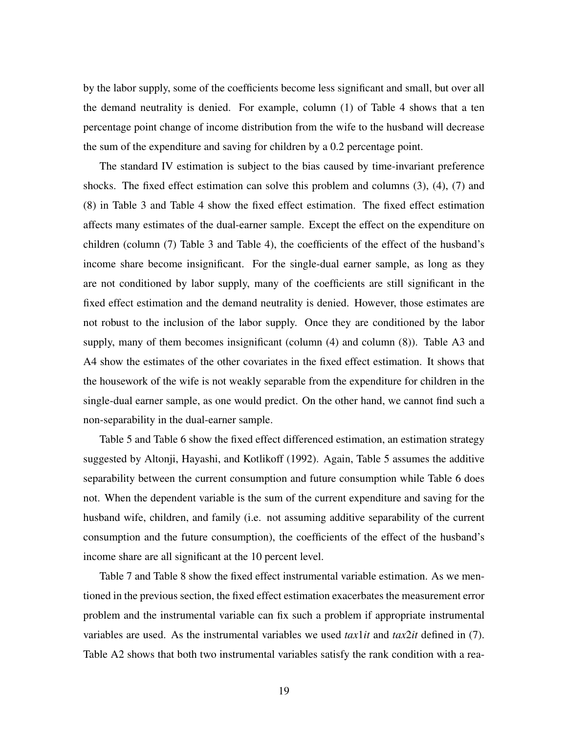by the labor supply, some of the coefficients become less significant and small, but over all the demand neutrality is denied. For example, column (1) of Table 4 shows that a ten percentage point change of income distribution from the wife to the husband will decrease the sum of the expenditure and saving for children by a 0.2 percentage point.

The standard IV estimation is subject to the bias caused by time-invariant preference shocks. The fixed effect estimation can solve this problem and columns (3), (4), (7) and (8) in Table 3 and Table 4 show the fixed effect estimation. The fixed effect estimation affects many estimates of the dual-earner sample. Except the effect on the expenditure on children (column (7) Table 3 and Table 4), the coefficients of the effect of the husband's income share become insignificant. For the single-dual earner sample, as long as they are not conditioned by labor supply, many of the coefficients are still significant in the fixed effect estimation and the demand neutrality is denied. However, those estimates are not robust to the inclusion of the labor supply. Once they are conditioned by the labor supply, many of them becomes insignificant (column (4) and column (8)). Table A3 and A4 show the estimates of the other covariates in the fixed effect estimation. It shows that the housework of the wife is not weakly separable from the expenditure for children in the single-dual earner sample, as one would predict. On the other hand, we cannot find such a non-separability in the dual-earner sample.

Table 5 and Table 6 show the fixed effect differenced estimation, an estimation strategy suggested by Altonji, Hayashi, and Kotlikoff (1992). Again, Table 5 assumes the additive separability between the current consumption and future consumption while Table 6 does not. When the dependent variable is the sum of the current expenditure and saving for the husband wife, children, and family (i.e. not assuming additive separability of the current consumption and the future consumption), the coefficients of the effect of the husband's income share are all significant at the 10 percent level.

Table 7 and Table 8 show the fixed effect instrumental variable estimation. As we mentioned in the previous section, the fixed effect estimation exacerbates the measurement error problem and the instrumental variable can fix such a problem if appropriate instrumental variables are used. As the instrumental variables we used *tax*1*it* and *tax*2*it* defined in (7). Table A2 shows that both two instrumental variables satisfy the rank condition with a rea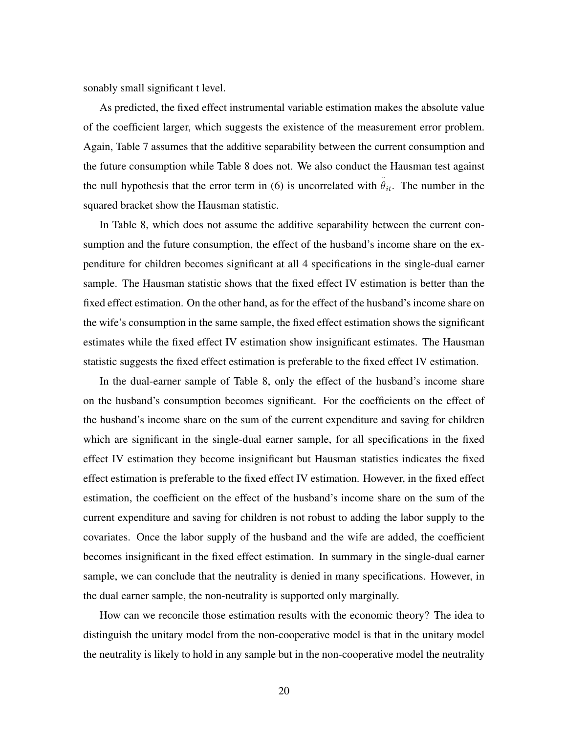sonably small significant t level.

As predicted, the fixed effect instrumental variable estimation makes the absolute value of the coefficient larger, which suggests the existence of the measurement error problem. Again, Table 7 assumes that the additive separability between the current consumption and the future consumption while Table 8 does not. We also conduct the Hausman test against the null hypothesis that the error term in (6) is uncorrelated with  $\ddot{\theta}_{it}$ . The number in the squared bracket show the Hausman statistic.

In Table 8, which does not assume the additive separability between the current consumption and the future consumption, the effect of the husband's income share on the expenditure for children becomes significant at all 4 specifications in the single-dual earner sample. The Hausman statistic shows that the fixed effect IV estimation is better than the fixed effect estimation. On the other hand, as for the effect of the husband's income share on the wife's consumption in the same sample, the fixed effect estimation shows the significant estimates while the fixed effect IV estimation show insignificant estimates. The Hausman statistic suggests the fixed effect estimation is preferable to the fixed effect IV estimation.

In the dual-earner sample of Table 8, only the effect of the husband's income share on the husband's consumption becomes significant. For the coefficients on the effect of the husband's income share on the sum of the current expenditure and saving for children which are significant in the single-dual earner sample, for all specifications in the fixed effect IV estimation they become insignificant but Hausman statistics indicates the fixed effect estimation is preferable to the fixed effect IV estimation. However, in the fixed effect estimation, the coefficient on the effect of the husband's income share on the sum of the current expenditure and saving for children is not robust to adding the labor supply to the covariates. Once the labor supply of the husband and the wife are added, the coefficient becomes insignificant in the fixed effect estimation. In summary in the single-dual earner sample, we can conclude that the neutrality is denied in many specifications. However, in the dual earner sample, the non-neutrality is supported only marginally.

How can we reconcile those estimation results with the economic theory? The idea to distinguish the unitary model from the non-cooperative model is that in the unitary model the neutrality is likely to hold in any sample but in the non-cooperative model the neutrality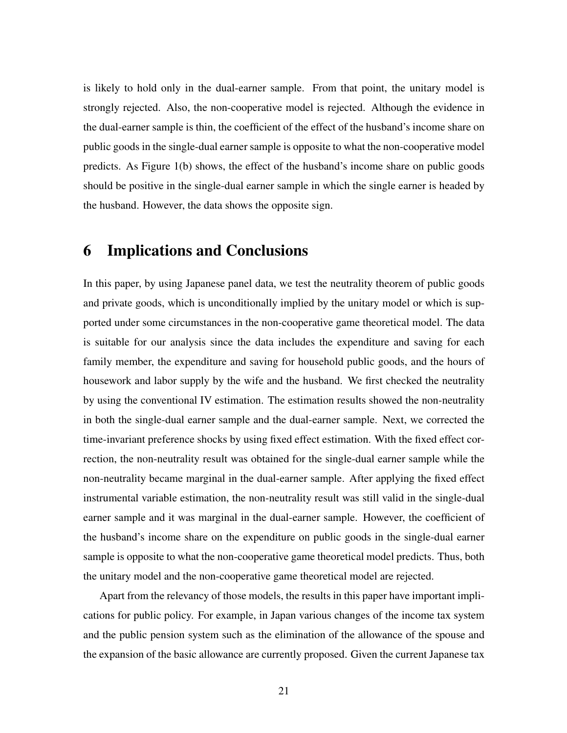is likely to hold only in the dual-earner sample. From that point, the unitary model is strongly rejected. Also, the non-cooperative model is rejected. Although the evidence in the dual-earner sample is thin, the coefficient of the effect of the husband's income share on public goods in the single-dual earner sample is opposite to what the non-cooperative model predicts. As Figure 1(b) shows, the effect of the husband's income share on public goods should be positive in the single-dual earner sample in which the single earner is headed by the husband. However, the data shows the opposite sign.

## 6 Implications and Conclusions

In this paper, by using Japanese panel data, we test the neutrality theorem of public goods and private goods, which is unconditionally implied by the unitary model or which is supported under some circumstances in the non-cooperative game theoretical model. The data is suitable for our analysis since the data includes the expenditure and saving for each family member, the expenditure and saving for household public goods, and the hours of housework and labor supply by the wife and the husband. We first checked the neutrality by using the conventional IV estimation. The estimation results showed the non-neutrality in both the single-dual earner sample and the dual-earner sample. Next, we corrected the time-invariant preference shocks by using fixed effect estimation. With the fixed effect correction, the non-neutrality result was obtained for the single-dual earner sample while the non-neutrality became marginal in the dual-earner sample. After applying the fixed effect instrumental variable estimation, the non-neutrality result was still valid in the single-dual earner sample and it was marginal in the dual-earner sample. However, the coefficient of the husband's income share on the expenditure on public goods in the single-dual earner sample is opposite to what the non-cooperative game theoretical model predicts. Thus, both the unitary model and the non-cooperative game theoretical model are rejected.

Apart from the relevancy of those models, the results in this paper have important implications for public policy. For example, in Japan various changes of the income tax system and the public pension system such as the elimination of the allowance of the spouse and the expansion of the basic allowance are currently proposed. Given the current Japanese tax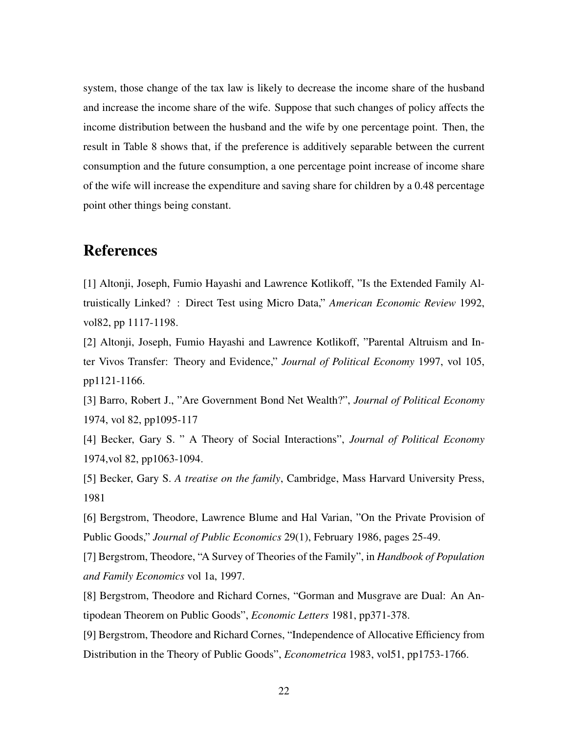system, those change of the tax law is likely to decrease the income share of the husband and increase the income share of the wife. Suppose that such changes of policy affects the income distribution between the husband and the wife by one percentage point. Then, the result in Table 8 shows that, if the preference is additively separable between the current consumption and the future consumption, a one percentage point increase of income share of the wife will increase the expenditure and saving share for children by a 0.48 percentage point other things being constant.

## References

[1] Altonji, Joseph, Fumio Hayashi and Lawrence Kotlikoff, "Is the Extended Family Altruistically Linked? : Direct Test using Micro Data," *American Economic Review* 1992, vol82, pp 1117-1198.

[2] Altonji, Joseph, Fumio Hayashi and Lawrence Kotlikoff, "Parental Altruism and Inter Vivos Transfer: Theory and Evidence," *Journal of Political Economy* 1997, vol 105, pp1121-1166.

[3] Barro, Robert J., "Are Government Bond Net Wealth?", *Journal of Political Economy* 1974, vol 82, pp1095-117

[4] Becker, Gary S. " A Theory of Social Interactions", *Journal of Political Economy* 1974,vol 82, pp1063-1094.

[5] Becker, Gary S. *A treatise on the family*, Cambridge, Mass Harvard University Press, 1981

[6] Bergstrom, Theodore, Lawrence Blume and Hal Varian, "On the Private Provision of Public Goods," *Journal of Public Economics* 29(1), February 1986, pages 25-49.

[7] Bergstrom, Theodore, "A Survey of Theories of the Family", in *Handbook of Population and Family Economics* vol 1a, 1997.

[8] Bergstrom, Theodore and Richard Cornes, "Gorman and Musgrave are Dual: An Antipodean Theorem on Public Goods", *Economic Letters* 1981, pp371-378.

[9] Bergstrom, Theodore and Richard Cornes, "Independence of Allocative Efficiency from Distribution in the Theory of Public Goods", *Econometrica* 1983, vol51, pp1753-1766.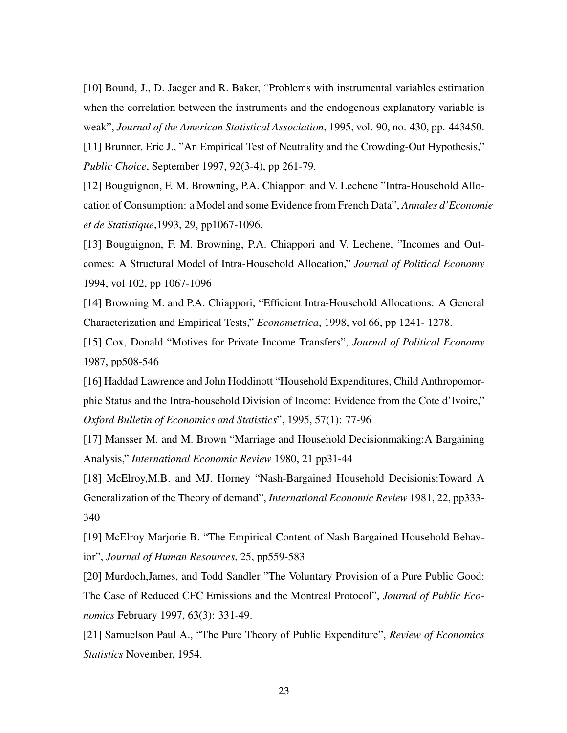[10] Bound, J., D. Jaeger and R. Baker, "Problems with instrumental variables estimation when the correlation between the instruments and the endogenous explanatory variable is weak", *Journal of the American Statistical Association*, 1995, vol. 90, no. 430, pp. 443450.

[11] Brunner, Eric J., "An Empirical Test of Neutrality and the Crowding-Out Hypothesis," *Public Choice*, September 1997, 92(3-4), pp 261-79.

[12] Bouguignon, F. M. Browning, P.A. Chiappori and V. Lechene "Intra-Household Allocation of Consumption: a Model and some Evidence from French Data", *Annales d'Economie et de Statistique*,1993, 29, pp1067-1096.

[13] Bouguignon, F. M. Browning, P.A. Chiappori and V. Lechene, "Incomes and Outcomes: A Structural Model of Intra-Household Allocation," *Journal of Political Economy* 1994, vol 102, pp 1067-1096

[14] Browning M. and P.A. Chiappori, "Efficient Intra-Household Allocations: A General Characterization and Empirical Tests," *Econometrica*, 1998, vol 66, pp 1241- 1278.

[15] Cox, Donald "Motives for Private Income Transfers", *Journal of Political Economy* 1987, pp508-546

[16] Haddad Lawrence and John Hoddinott "Household Expenditures, Child Anthropomorphic Status and the Intra-household Division of Income: Evidence from the Cote d'Ivoire," *Oxford Bulletin of Economics and Statistics*", 1995, 57(1): 77-96

[17] Mansser M. and M. Brown "Marriage and Household Decisionmaking:A Bargaining Analysis," *International Economic Review* 1980, 21 pp31-44

[18] McElroy, M.B. and MJ. Horney "Nash-Bargained Household Decisionis: Toward A Generalization of the Theory of demand", *International Economic Review* 1981, 22, pp333- 340

[19] McElroy Marjorie B. "The Empirical Content of Nash Bargained Household Behavior", *Journal of Human Resources*, 25, pp559-583

[20] Murdoch,James, and Todd Sandler "The Voluntary Provision of a Pure Public Good: The Case of Reduced CFC Emissions and the Montreal Protocol", *Journal of Public Economics* February 1997, 63(3): 331-49.

[21] Samuelson Paul A., "The Pure Theory of Public Expenditure", *Review of Economics Statistics* November, 1954.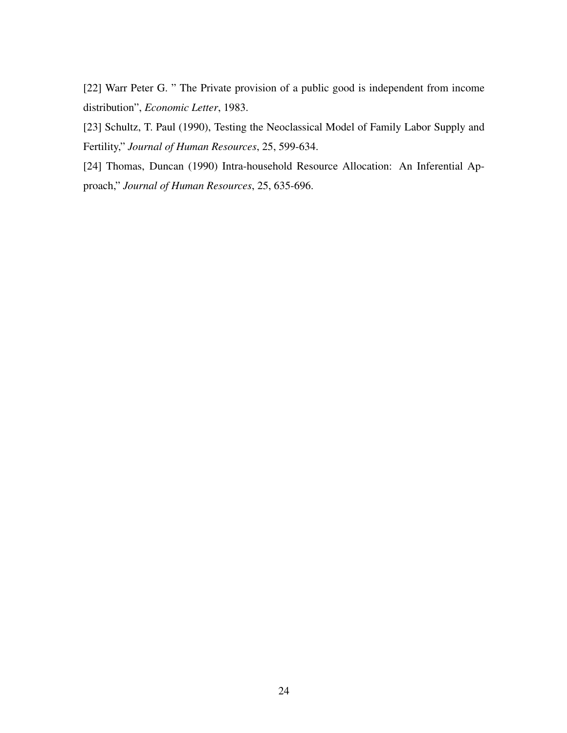[22] Warr Peter G. " The Private provision of a public good is independent from income distribution", *Economic Letter*, 1983.

[23] Schultz, T. Paul (1990), Testing the Neoclassical Model of Family Labor Supply and Fertility," *Journal of Human Resources*, 25, 599-634.

[24] Thomas, Duncan (1990) Intra-household Resource Allocation: An Inferential Approach," *Journal of Human Resources*, 25, 635-696.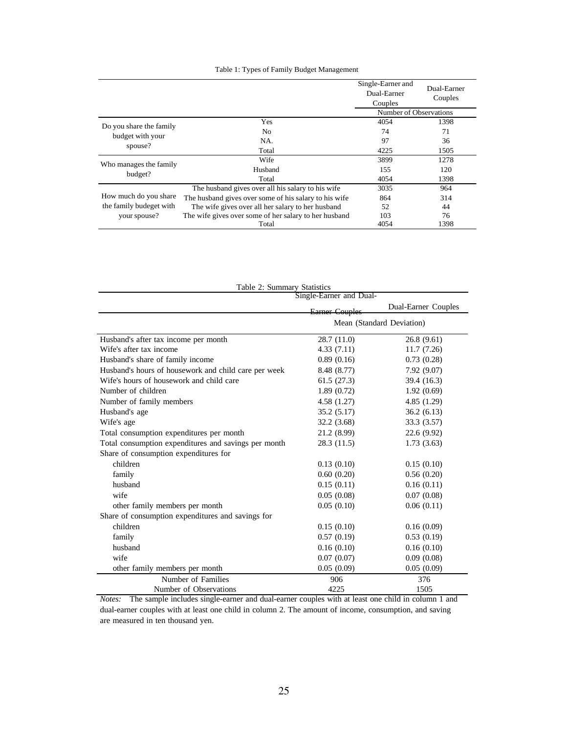#### Table 1: Types of Family Budget Management

|                                   |                                                       | Single-Earner and<br>Dual-Earner<br>Couples | Dual-Earner<br>Couples |
|-----------------------------------|-------------------------------------------------------|---------------------------------------------|------------------------|
|                                   |                                                       | Number of Observations                      |                        |
| Do you share the family           | <b>Yes</b>                                            | 4054                                        | 1398                   |
| budget with your                  | N <sub>0</sub>                                        | 74                                          | 71                     |
|                                   | NA.                                                   | 97                                          | 36                     |
| spouse?                           | Total                                                 | 4225                                        | 1505                   |
|                                   | Wife                                                  | 3899                                        | 1278                   |
| Who manages the family<br>budget? | Husband                                               | 155                                         | 120                    |
|                                   | Total                                                 | 4054                                        | 1398                   |
|                                   | The husband gives over all his salary to his wife     | 3035                                        | 964                    |
| How much do you share             | The husband gives over some of his salary to his wife | 864                                         | 314                    |
| the family budeget with           | The wife gives over all her salary to her husband     | 52                                          | 44                     |
| your spouse?                      | The wife gives over some of her salary to her husband | 103                                         | 76                     |
|                                   | Total                                                 | 4054                                        | 1398                   |

| Table 2: Summary Statistics                          |                         |                           |
|------------------------------------------------------|-------------------------|---------------------------|
|                                                      | Single-Earner and Dual- |                           |
|                                                      | <b>Earner Couples</b>   | Dual-Earner Couples       |
|                                                      |                         | Mean (Standard Deviation) |
| Husband's after tax income per month                 | 28.7 (11.0)             | 26.8(9.61)                |
| Wife's after tax income                              | 4.33(7.11)              | 11.7(7.26)                |
| Husband's share of family income                     | 0.89(0.16)              | 0.73(0.28)                |
| Husband's hours of housework and child care per week | 8.48 (8.77)             | 7.92(9.07)                |
| Wife's hours of housework and child care             | 61.5(27.3)              | 39.4 (16.3)               |
| Number of children                                   | 1.89(0.72)              | 1.92(0.69)                |
| Number of family members                             | 4.58 (1.27)             | 4.85(1.29)                |
| Husband's age                                        | 35.2(5.17)              | 36.2(6.13)                |
| Wife's age                                           | 32.2 (3.68)             | 33.3 (3.57)               |
| Total consumption expenditures per month             | 21.2 (8.99)             | 22.6 (9.92)               |
| Total consumption expenditures and savings per month | 28.3 (11.5)             | 1.73(3.63)                |
| Share of consumption expenditures for                |                         |                           |
| children                                             | 0.13(0.10)              | 0.15(0.10)                |
| family                                               | 0.60(0.20)              | 0.56(0.20)                |
| husband                                              | 0.15(0.11)              | 0.16(0.11)                |
| wife                                                 | 0.05(0.08)              | 0.07(0.08)                |
| other family members per month                       | 0.05(0.10)              | 0.06(0.11)                |
| Share of consumption expenditures and savings for    |                         |                           |
| children                                             | 0.15(0.10)              | 0.16(0.09)                |
| family                                               | 0.57(0.19)              | 0.53(0.19)                |
| husband                                              | 0.16(0.10)              | 0.16(0.10)                |
| wife                                                 | 0.07(0.07)              | 0.09(0.08)                |
| other family members per month                       | 0.05(0.09)              | 0.05(0.09)                |
| Number of Families                                   | 906                     | 376                       |
| Number of Observations                               | 4225                    | 1505                      |

*Notes:* The sample includes single-earner and dual-earner couples with at least one child in column 1 and dual-earner couples with at least one child in column 2. The amount of income, consumption, and saving are measured in ten thousand yen.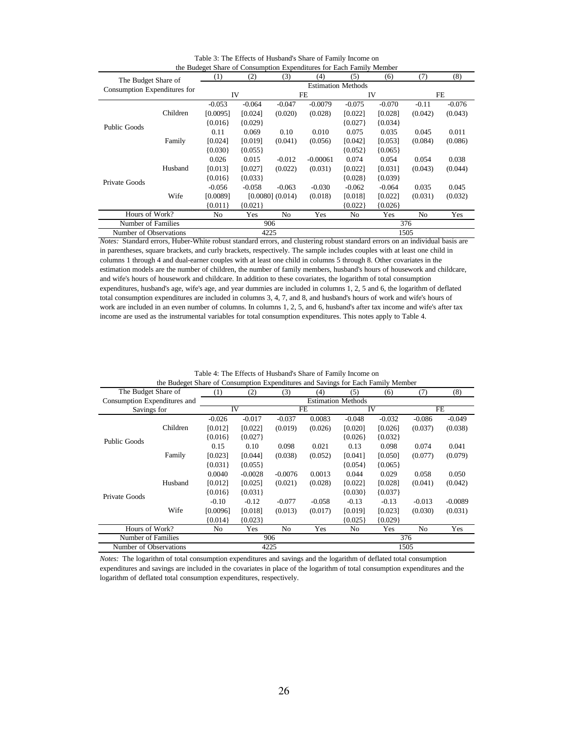|                                                     |          | the Budeget Share of Consumption Expenditures for Each Family Member |           |                      |            |                           |           |         |          |
|-----------------------------------------------------|----------|----------------------------------------------------------------------|-----------|----------------------|------------|---------------------------|-----------|---------|----------|
|                                                     |          | (1)                                                                  | (2)       | (3)                  | (4)        | (5)                       | (6)       | (7)     | (8)      |
| The Budget Share of<br>Consumption Expenditures for |          |                                                                      |           |                      |            | <b>Estimation Methods</b> |           |         |          |
|                                                     |          | IV                                                                   |           |                      | FE         |                           | IV        |         | FE       |
|                                                     |          | $-0.053$                                                             | $-0.064$  | $-0.047$             | $-0.0079$  | $-0.075$                  | $-0.070$  | $-0.11$ | $-0.076$ |
|                                                     | Children | [0.0095]                                                             | [0.024]   | (0.020)              | (0.028)    | [0.022]                   | [0.028]   | (0.042) | (0.043)  |
| Public Goods                                        |          | ${0.016}$                                                            | ${0.029}$ |                      |            | ${0.027}$                 | ${0.034}$ |         |          |
|                                                     |          | 0.11                                                                 | 0.069     | 0.10                 | 0.010      | 0.075                     | 0.035     | 0.045   | 0.011    |
|                                                     | Family   | [0.024]                                                              | [0.019]   | (0.041)              | (0.056)    | [0.042]                   | [0.053]   | (0.084) | (0.086)  |
|                                                     |          | ${0.030}$                                                            | ${0.055}$ |                      |            | ${0.052}$                 | ${0.065}$ |         |          |
|                                                     |          | 0.026                                                                | 0.015     | $-0.012$             | $-0.00061$ | 0.074                     | 0.054     | 0.054   | 0.038    |
|                                                     | Husband  | [0.013]                                                              | [0.027]   | (0.022)              | (0.031)    | [0.022]                   | [0.031]   | (0.043) | (0.044)  |
|                                                     |          | ${0.016}$                                                            | ${0.033}$ |                      |            | ${0.028}$                 | ${0.039}$ |         |          |
| Private Goods                                       |          | $-0.056$                                                             | $-0.058$  | $-0.063$             | $-0.030$   | $-0.062$                  | $-0.064$  | 0.035   | 0.045    |
|                                                     | Wife     | [0.0089]                                                             |           | $[0.0080]$ $(0.014)$ | (0.018)    | [0.018]                   | [0.022]   | (0.031) | (0.032)  |
|                                                     |          | ${0.011}$                                                            | ${0.021}$ |                      |            | ${0.022}$                 | ${0.026}$ |         |          |
| Hours of Work?                                      |          | N <sub>0</sub>                                                       | Yes       | No                   | Yes        | No                        | Yes       | No      | Yes      |
| Number of Families                                  |          |                                                                      |           | 906                  |            | 376                       |           |         |          |
| Number of Observations                              |          |                                                                      |           | 4225                 |            |                           |           | 1505    |          |

Table 3: The Effects of Husband's Share of Family Income on

*Notes:* Standard errors, Huber-White robust standard errors, and clustering robust standard errors on an individual basis are in parentheses, square brackets, and curly brackets, respectively. The sample includes couples with at least one child in columns 1 through 4 and dual-earner couples with at least one child in columns 5 through 8. Other covariates in the estimation models are the number of children, the number of family members, husband's hours of housework and childcare, and wife's hours of housework and childcare. In addition to these covariates, the logarithm of total consumption expenditures, husband's age, wife's age, and year dummies are included in columns 1, 2, 5 and 6, the logarithm of deflated total consumption expenditures are included in columns 3, 4, 7, and 8, and husband's hours of work and wife's hours of work are included in an even number of columns. In columns 1, 2, 5, and 6, husband's after tax income and wife's after tax income are used as the instrumental variables for total consumption expenditures. This notes apply to Table 4.

|                              | the Budeget Share of Consumption Expenditures and Savings for Each Family Member |           |           |           |          |                           |                   |          |           |  |
|------------------------------|----------------------------------------------------------------------------------|-----------|-----------|-----------|----------|---------------------------|-------------------|----------|-----------|--|
| The Budget Share of          |                                                                                  | (1)       | (2)       | (3)       | (4)      | (5)                       | (8)<br>(7)<br>(6) |          |           |  |
| Consumption Expenditures and |                                                                                  |           |           |           |          | <b>Estimation Methods</b> |                   |          |           |  |
| Savings for                  |                                                                                  | IV        |           |           | FE       |                           | IV                | FE       |           |  |
|                              |                                                                                  | $-0.026$  | $-0.017$  | $-0.037$  | 0.0083   | $-0.048$                  | $-0.032$          | $-0.086$ | $-0.049$  |  |
|                              | Children                                                                         | [0.012]   | [0.022]   | (0.019)   | (0.026)  | [0.020]                   | [0.026]           | (0.037)  | (0.038)   |  |
|                              |                                                                                  | ${0.016}$ | ${0.027}$ |           |          | ${0.026}$                 | ${0.032}$         |          |           |  |
| <b>Public Goods</b>          |                                                                                  | 0.15      | 0.10      | 0.098     | 0.021    | 0.13                      | 0.098             | 0.074    | 0.041     |  |
|                              | Family                                                                           | [0.023]   | [0.044]   | (0.038)   | (0.052)  | [0.041]                   | [0.050]           | (0.077)  | (0.079)   |  |
|                              |                                                                                  | ${0.031}$ | ${0.055}$ |           |          | ${0.054}$                 | ${0.065}$         |          |           |  |
|                              |                                                                                  | 0.0040    | $-0.0028$ | $-0.0076$ | 0.0013   | 0.044                     | 0.029             | 0.058    | 0.050     |  |
|                              | Husband                                                                          | [0.012]   | [0.025]   | (0.021)   | (0.028)  | [0.022]                   | [0.028]           | (0.041)  | (0.042)   |  |
|                              |                                                                                  | ${0.016}$ | ${0.031}$ |           |          | ${0.030}$                 | ${0.037}$         |          |           |  |
| Private Goods                |                                                                                  | $-0.10$   | $-0.12$   | $-0.077$  | $-0.058$ | $-0.13$                   | $-0.13$           | $-0.013$ | $-0.0089$ |  |
|                              | Wife                                                                             | [0.0096]  | [0.018]   | (0.013)   | (0.017)  | [0.019]                   | [0.023]           | (0.030)  | (0.031)   |  |
|                              |                                                                                  | ${0.014}$ | ${0.023}$ |           |          | ${0.025}$                 | ${0.029}$         |          |           |  |
| Hours of Work?               |                                                                                  | No        | Yes       | No.       | Yes      | Yes<br>No<br>No.          |                   |          | Yes       |  |
| Number of Families           |                                                                                  |           |           | 906       |          | 376                       |                   |          |           |  |
| Number of Observations       |                                                                                  |           |           | 4225      |          |                           |                   | 1505     |           |  |

Table 4: The Effects of Husband's Share of Family Income on<br>the Budgest Share of Consumption Expenditures and Savings for Each Family the of Consumption Expenditures and Savings for Each Family Member

*Notes:* The logarithm of total consumption expenditures and savings and the logarithm of deflated total consumption expenditures and savings are included in the covariates in place of the logarithm of total consumption expenditures and the logarithm of deflated total consumption expenditures, respectively.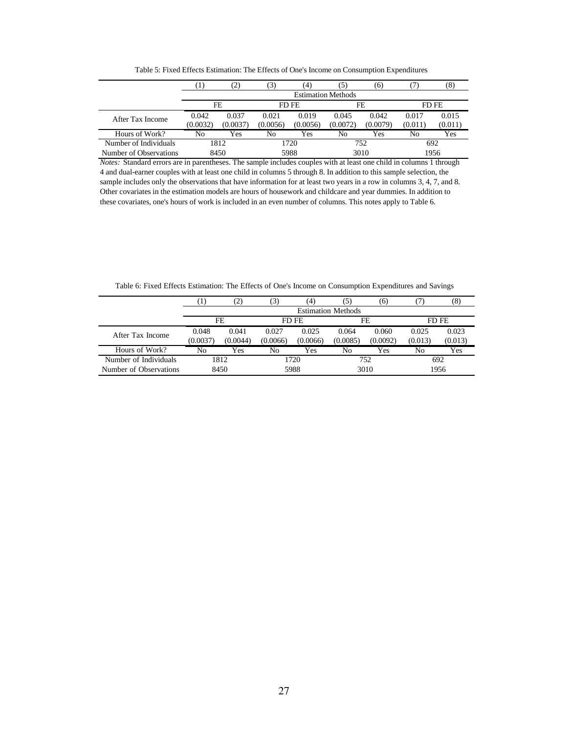Table 5: Fixed Effects Estimation: The Effects of One's Income on Consumption Expenditures

|                        |                   | $\mathbf{2}$              |                   | (4)               | 15                | (6)               |                  | 8)               |
|------------------------|-------------------|---------------------------|-------------------|-------------------|-------------------|-------------------|------------------|------------------|
|                        |                   | <b>Estimation Methods</b> |                   |                   |                   |                   |                  |                  |
|                        |                   | FE                        |                   | FD FE             |                   | FE                |                  | FD FE            |
| After Tax Income       | 0.042<br>(0.0032) | 0.037<br>(0.0037          | 0.021<br>(0.0056) | 0.019<br>(0.0056) | 0.045<br>(0.0072) | 0.042<br>(0.0079) | 0.017<br>(0.011) | 0.015<br>(0.011) |
| Hours of Work?         | No                | Yes                       | No                | Yes               | No                | Yes               | No               | Yes              |
| Number of Individuals  |                   | 1812                      |                   | 1720              |                   | 752               | 692              |                  |
| Number of Observations |                   | 8450                      |                   | 5988              | 3010              |                   | 1956             |                  |

*Notes:* Standard errors are in parentheses. The sample includes couples with at least one child in columns 1 through 4 and dual-earner couples with at least one child in columns 5 through 8. In addition to this sample selection, the sample includes only the observations that have information for at least two years in a row in columns 3, 4, 7, and 8. Other covariates in the estimation models are hours of housework and childcare and year dummies. In addition to these covariates, one's hours of work is included in an even number of columns. This notes apply to Table 6.

Table 6: Fixed Effects Estimation: The Effects of One's Income on Consumption Expenditures and Savings

|                        |          |                           |          | $\left( 4\right)$ |          | (6)      |         | $\left( 8\right)$ |  |
|------------------------|----------|---------------------------|----------|-------------------|----------|----------|---------|-------------------|--|
|                        |          | <b>Estimation Methods</b> |          |                   |          |          |         |                   |  |
|                        |          | FE                        |          | FD FE             |          | FE       |         | FD FE             |  |
| After Tax Income       | 0.048    | 0.041                     | 0.027    | 0.025             | 0.064    | 0.060    | 0.025   | 0.023             |  |
|                        | (0.0037) | (0.0044)                  | (0.0066) | (0.0066)          | (0.0085) | (0.0092) | (0.013) | (0.013)           |  |
| Hours of Work?         | No       | Yes                       | No       | Yes               | No       | Yes      | No      | Yes               |  |
| Number of Individuals  |          | 1812                      |          | 1720              |          | 752      |         | 692               |  |
| Number of Observations |          | 8450                      |          | 5988              |          | 3010     |         | 1956              |  |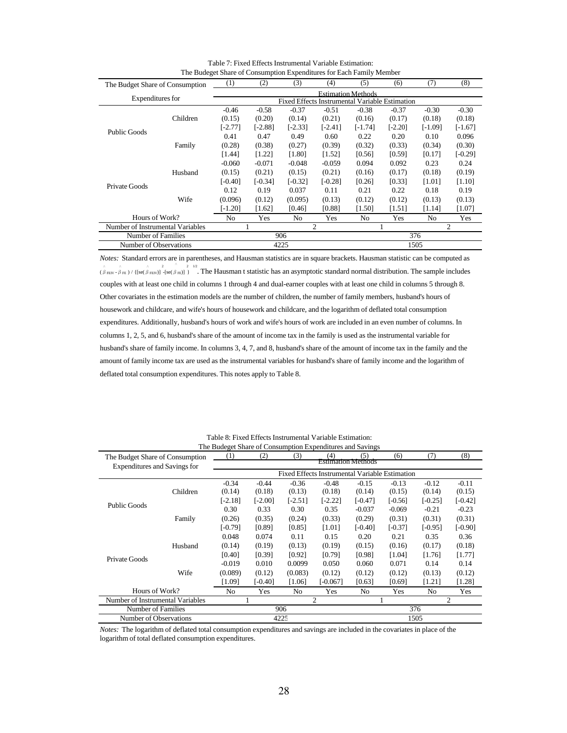| The Budget Share of Consumption  |          | (1)            | (2)       | (3)                                            | (4)       | (5)                       | (6)       | (7)       | (8)       |
|----------------------------------|----------|----------------|-----------|------------------------------------------------|-----------|---------------------------|-----------|-----------|-----------|
|                                  |          |                |           |                                                |           | <b>Estimation Methods</b> |           |           |           |
| Expenditures for                 |          |                |           | Fixed Effects Instrumental Variable Estimation |           |                           |           |           |           |
|                                  |          | $-0.46$        | $-0.58$   | $-0.37$                                        | $-0.51$   | $-0.38$                   | $-0.37$   | $-0.30$   | $-0.30$   |
|                                  | Children | (0.15)         | (0.20)    | (0.14)                                         | (0.21)    | (0.16)                    | (0.17)    | (0.18)    | (0.18)    |
|                                  |          | $[-2.77]$      | $[-2.88]$ | $[-2.33]$                                      | $-2.41$ ] | $[-1.74]$                 | $[-2.20]$ | $[-1.09]$ | [-1.67]   |
| Public Goods                     |          | 0.41           | 0.47      | 0.49                                           | 0.60      | 0.22                      | 0.20      | 0.10      | 0.096     |
|                                  | Family   | (0.28)         | (0.38)    | (0.27)                                         | (0.39)    | (0.32)                    | (0.33)    | (0.34)    | (0.30)    |
|                                  |          | [1.44]         | [1.22]    | [1.80]                                         | [1.52]    | [0.56]                    | [0.59]    | [0.17]    | $[-0.29]$ |
|                                  |          | $-0.060$       | $-0.071$  | $-0.048$                                       | $-0.059$  | 0.094                     | 0.092     | 0.23      | 0.24      |
|                                  | Husband  | (0.15)         | (0.21)    | (0.15)                                         | (0.21)    | (0.16)                    | (0.17)    | (0.18)    | (0.19)    |
|                                  |          | [-0.40]        | [-0.34]   | $[-0.32]$                                      | [-0.28]   | [0.26]                    | [0.33]    | [1.01]    | [1.10]    |
| Private Goods                    |          | 0.12           | 0.19      | 0.037                                          | 0.11      | 0.21                      | 0.22      | 0.18      | 0.19      |
|                                  | Wife     | (0.096)        | (0.12)    | (0.095)                                        | (0.13)    | (0.12)                    | (0.12)    | (0.13)    | (0.13)    |
|                                  |          | $[-1.20]$      | $[1.62]$  | [0.46]                                         | [0.88]    | [1.50]                    | [1.51]    | [1.14]    | [1.07]    |
| Hours of Work?                   |          | N <sub>o</sub> | Yes       | No                                             | Yes       | No                        | Yes       | No.       | Yes       |
| Number of Instrumental Variables |          |                |           |                                                | 2         | 2                         |           |           |           |
| Number of Families               |          |                |           | 906                                            |           |                           |           | 376       |           |
| Number of Observations           |          |                |           | 4225                                           |           |                           |           | 1505      |           |

Table 7: Fixed Effects Instrumental Variable Estimation: The Budeget Share of Consumption Expenditures for Each Family Member

*Notes:* Standard errors are in parentheses, and Hausman statistics are in square brackets. Hausman statistic can be computed as  $\hat{\beta}_{\text{FEN}}$   $\hat{\beta}_{\text{FEN}}$  / {[se( $\hat{\beta}_{\text{FEN}}$ ]  $\frac{2}{\text{[sc(S) E]}}$   $\frac{2}{\text{[sc(S) E]}}$  The Hausman t statistic has an asymptotic standard normal distribution. The sample includes couples with at least one child in columns 1 through 4 and dual-earner couples with at least one child in columns 5 through 8. Other covariates in the estimation models are the number of children, the number of family members, husband's hours of housework and childcare, and wife's hours of housework and childcare, and the logarithm of deflated total consumption expenditures. Additionally, husband's hours of work and wife's hours of work are included in an even number of columns. In columns 1, 2, 5, and 6, husband's share of the amount of income tax in the family is used as the instrumental variable for husband's share of family income. In columns 3, 4, 7, and 8, husband's share of the amount of income tax in the family and the amount of family income tax are used as the instrumental variables for husband's share of family income and the logarithm of deflated total consumption expenditures. This notes apply to Table 8.

|                                     |          |                |                           |                | The Budeget Share of Consumption Expenditures and Savings |                |           |                |           |  |  |
|-------------------------------------|----------|----------------|---------------------------|----------------|-----------------------------------------------------------|----------------|-----------|----------------|-----------|--|--|
| The Budget Share of Consumption     |          | (1)            | (2)                       | (3)            | (4)                                                       | (5)            | (6)       | (7)            | (8)       |  |  |
| <b>Expenditures and Savings for</b> |          |                | <b>Estimation Methods</b> |                |                                                           |                |           |                |           |  |  |
|                                     |          |                |                           |                | Fixed Effects Instrumental Variable Estimation            |                |           |                |           |  |  |
|                                     |          | $-0.34$        | $-0.44$                   | $-0.36$        | $-0.48$                                                   | $-0.15$        | $-0.13$   | $-0.12$        | $-0.11$   |  |  |
|                                     | Children | (0.14)         | (0.18)                    | (0.13)         | (0.18)                                                    | (0.14)         | (0.15)    | (0.14)         | (0.15)    |  |  |
| Public Goods                        |          | $[-2.18]$      | $[-2.00]$                 | $[-2.51]$      | $[-2.22]$                                                 | $[-0.47]$      | $[-0.56]$ | $[-0.25]$      | [-0.42]   |  |  |
|                                     |          | 0.30           | 0.33                      | 0.30           | 0.35                                                      | $-0.037$       | $-0.069$  | $-0.21$        | $-0.23$   |  |  |
|                                     | Family   | (0.26)         | (0.35)                    | (0.24)         | (0.33)                                                    | (0.29)         | (0.31)    | (0.31)         | (0.31)    |  |  |
|                                     |          | $[-0.79]$      | [0.89]                    | [0.85]         | [1.01]                                                    | $[-0.40]$      | $[-0.37]$ | $[-0.95]$      | $[-0.90]$ |  |  |
|                                     |          | 0.048          | 0.074                     | 0.11           | 0.15                                                      | 0.20           | 0.21      | 0.35           | 0.36      |  |  |
|                                     | Husband  | (0.14)         | (0.19)                    | (0.13)         | (0.19)                                                    | (0.15)         | (0.16)    | (0.17)         | (0.18)    |  |  |
|                                     |          | [0.40]         | [0.39]                    | [0.92]         | [0.79]                                                    | [0.98]         | [1.04]    | [1.76]         | [1.77]    |  |  |
| Private Goods                       |          | $-0.019$       | 0.010                     | 0.0099         | 0.050                                                     | 0.060          | 0.071     | 0.14           | 0.14      |  |  |
|                                     | Wife     | (0.089)        | (0.12)                    | (0.083)        | (0.12)                                                    | (0.12)         | (0.12)    | (0.13)         | (0.12)    |  |  |
|                                     |          | 1.091          | $-0.401$                  | [1.06]         | [-0.067]                                                  | [0.63]         | [0.69]    | [1.21]         | [1.28]    |  |  |
| Hours of Work?                      |          | N <sub>0</sub> | Yes                       | N <sub>0</sub> | Yes                                                       | N <sub>o</sub> | Yes       | N <sub>o</sub> | Yes       |  |  |
| Number of Instrumental Variables    |          | 2<br>2         |                           |                |                                                           |                |           |                |           |  |  |
| Number of Families                  |          |                |                           | 906            |                                                           |                |           | 376            |           |  |  |
| Number of Observations              |          |                |                           | 4225           |                                                           |                |           | 1505           |           |  |  |

Table 8: Fixed Effects Instrumental Variable Estimation:

*Notes:* The logarithm of deflated total consumption expenditures and savings are included in the covariates in place of the logarithm of total deflated consumption expenditures.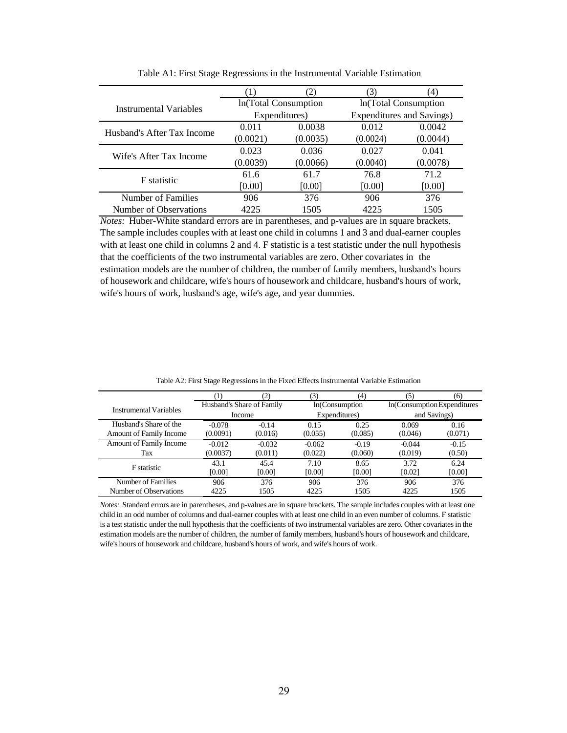|                            |          |                      | 3)       | '41                       |
|----------------------------|----------|----------------------|----------|---------------------------|
| Instrumental Variables     |          | In(Total Consumption |          | In(Total Consumption      |
|                            |          | Expenditures)        |          | Expenditures and Savings) |
| Husband's After Tax Income | 0.011    | 0.0038               | 0.012    | 0.0042                    |
|                            | (0.0021) | (0.0035)             | (0.0024) | (0.0044)                  |
| Wife's After Tax Income    | 0.023    | 0.036                | 0.027    | 0.041                     |
|                            | (0.0039) | (0.0066)             | (0.0040) | (0.0078)                  |
| <b>F</b> statistic         | 61.6     | 61.7                 | 76.8     | 71.2                      |
|                            | [0.00]   | [0.00]               | [0.00]   | [0.00]                    |
| Number of Families         | 906      | 376                  | 906      | 376                       |
| Number of Observations     | 4225     | 1505                 | 4225     | 1505                      |

Table A1: First Stage Regressions in the Instrumental Variable Estimation

*Notes:* Huber-White standard errors are in parentheses, and p-values are in square brackets. The sample includes couples with at least one child in columns 1 and 3 and dual-earner couples with at least one child in columns 2 and 4. F statistic is a test statistic under the null hypothesis that the coefficients of the two instrumental variables are zero. Other covariates in the estimation models are the number of children, the number of family members, husband's hours of housework and childcare, wife's hours of housework and childcare, husband's hours of work, wife's hours of work, husband's age, wife's age, and year dummies.

|                         |                           | (2, 2)        | (3)      | (4)            | (5)                         | (6)          |  |
|-------------------------|---------------------------|---------------|----------|----------------|-----------------------------|--------------|--|
| Instrumental Variables  | Husband's Share of Family |               |          | In(Consumption | In(Consumption Expenditures |              |  |
|                         |                           | <b>Income</b> |          | Expenditures)  |                             | and Savings) |  |
| Husband's Share of the  | $-0.078$                  | $-0.14$       | 0.15     | 0.25           | 0.069                       | 0.16         |  |
| Amount of Family Income | (0.0091)                  | (0.016)       | (0.055)  | (0.085)        | (0.046)                     | (0.071)      |  |
| Amount of Family Income | $-0.012$                  | $-0.032$      | $-0.062$ | $-0.19$        | $-0.044$                    | $-0.15$      |  |
| Tax                     | (0.0037)                  | (0.011)       | (0.022)  | (0.060)        | (0.019)                     | (0.50)       |  |
| <b>F</b> statistic      | 43.1                      | 45.4          | 7.10     | 8.65           | 3.72                        | 6.24         |  |
|                         | [0.00]                    | [0.00]        | [0.00]   | [0.00]         | [0.02]                      | [0.00]       |  |
| Number of Families      | 906                       | 376           | 906      | 376            | 906                         | 376          |  |
| Number of Observations  | 4225                      | 1505          | 4225     | 1505           | 4225                        | 1505         |  |

Table A2: First Stage Regressions in the Fixed Effects Instrumental Variable Estimation

*Notes:* Standard errors are in parentheses, and p-values are in square brackets. The sample includes couples with at least one child in an odd number of columns and dual-earner couples with at least one child in an even number of columns. F statistic is a test statistic under the null hypothesis that the coefficients of two instrumental variables are zero. Other covariates in the estimation models are the number of children, the number of family members, husband's hours of housework and childcare, wife's hours of housework and childcare, husband's hours of work, and wife's hours of work.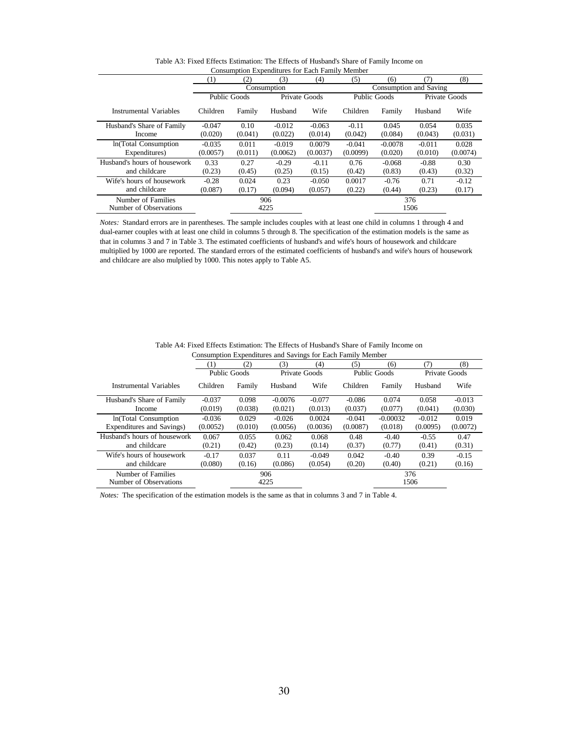|                                              | <b>Consumption Expenditures for Each Family Member</b> |         |             |               |              |           |                        |          |  |  |  |
|----------------------------------------------|--------------------------------------------------------|---------|-------------|---------------|--------------|-----------|------------------------|----------|--|--|--|
|                                              | $^{(1)}$                                               | (2)     | (3)         | (4)           | (5)          | (6)       | (7)                    | (8)      |  |  |  |
|                                              |                                                        |         | Consumption |               |              |           | Consumption and Saving |          |  |  |  |
|                                              | Public Goods                                           |         |             | Private Goods | Public Goods |           | Private Goods          |          |  |  |  |
| Instrumental Variables                       | Children                                               | Family  | Husband     | Wife          | Children     | Family    | Husband                | Wife     |  |  |  |
| Husband's Share of Family                    | $-0.047$                                               | 0.10    | $-0.012$    | $-0.063$      | $-0.11$      | 0.045     | 0.054                  | 0.035    |  |  |  |
| Income                                       | (0.020)                                                | (0.041) | (0.022)     | (0.014)       | (0.042)      | (0.084)   | (0.043)                | (0.031)  |  |  |  |
| In(Total Consumption                         | $-0.035$                                               | 0.011   | $-0.019$    | 0.0079        | $-0.041$     | $-0.0078$ | $-0.011$               | 0.028    |  |  |  |
| Expenditures)                                | (0.0057)                                               | (0.011) | (0.0062)    | (0.0037)      | (0.0099)     | (0.020)   | (0.010)                | (0.0074) |  |  |  |
| Husband's hours of housework                 | 0.33                                                   | 0.27    | $-0.29$     | $-0.11$       | 0.76         | $-0.068$  | $-0.88$                | 0.30     |  |  |  |
| and childcare                                | (0.23)                                                 | (0.45)  | (0.25)      | (0.15)        | (0.42)       | (0.83)    | (0.43)                 | (0.32)   |  |  |  |
| Wife's hours of housework                    | $-0.28$                                                | 0.024   | 0.23        | $-0.050$      | 0.0017       | $-0.76$   | 0.71                   | $-0.12$  |  |  |  |
| and childcare                                | (0.087)                                                | (0.17)  | (0.094)     | (0.057)       | (0.22)       | (0.44)    | (0.23)                 | (0.17)   |  |  |  |
| Number of Families<br>Number of Observations |                                                        |         | 906<br>4225 |               |              |           | 376<br>1506            |          |  |  |  |
|                                              |                                                        |         |             |               |              |           |                        |          |  |  |  |

Table A3: Fixed Effects Estimation: The Effects of Husband's Share of Family Income on

*Notes:* Standard errors are in parentheses. The sample includes couples with at least one child in columns 1 through 4 and dual-earner couples with at least one child in columns 5 through 8. The specification of the estimation models is the same as that in columns 3 and 7 in Table 3. The estimated coefficients of husband's and wife's hours of housework and childcare multiplied by 1000 are reported. The standard errors of the estimated coefficients of husband's and wife's hours of housework and childcare are also mulplied by 1000. This notes apply to Table A5.

|                                              |                     | Consumption Expenditures and Savings for Each Family Member |               |          |                     |            |             |               |  |
|----------------------------------------------|---------------------|-------------------------------------------------------------|---------------|----------|---------------------|------------|-------------|---------------|--|
|                                              | 1)                  | (2)                                                         | (3)           | (4)      | (5)                 | (6)        | (7)         | (8)           |  |
|                                              | <b>Public Goods</b> |                                                             | Private Goods |          | <b>Public Goods</b> |            |             | Private Goods |  |
| Instrumental Variables                       | Children            | Family                                                      | Husband       | Wife     | Children            | Family     | Husband     | Wife          |  |
| Husband's Share of Family                    | $-0.037$            | 0.098                                                       | $-0.0076$     | $-0.077$ | $-0.086$            | 0.074      | 0.058       | $-0.013$      |  |
| Income                                       | (0.019)             | (0.038)                                                     | (0.021)       | (0.013)  | (0.037)             | (0.077)    | (0.041)     | (0.030)       |  |
| In(Total Consumption                         | $-0.036$            | 0.029                                                       | $-0.026$      | 0.0024   | $-0.041$            | $-0.00032$ | $-0.012$    | 0.019         |  |
| Expenditures and Savings)                    | (0.0052)            | (0.010)                                                     | (0.0056)      | (0.0036) | (0.0087)            | (0.018)    | (0.0095)    | (0.0072)      |  |
| Husband's hours of housework                 | 0.067               | 0.055                                                       | 0.062         | 0.068    | 0.48                | $-0.40$    | $-0.55$     | 0.47          |  |
| and childcare                                | (0.21)              | (0.42)                                                      | (0.23)        | (0.14)   | (0.37)              | (0.77)     | (0.41)      | (0.31)        |  |
| Wife's hours of housework                    | $-0.17$             | 0.037                                                       | 0.11          | $-0.049$ | 0.042               | $-0.40$    | 0.39        | $-0.15$       |  |
| and childcare                                | (0.080)             | (0.16)                                                      | (0.086)       | (0.054)  | (0.20)              | (0.40)     | (0.21)      | (0.16)        |  |
| Number of Families<br>Number of Observations |                     |                                                             | 906<br>4225   |          |                     |            | 376<br>1506 |               |  |

Table A4: Fixed Effects Estimation: The Effects of Husband's Share of Family Income on<br>Consumption Expenditures and Savings for Each Family Mamber Consumption Expenditures and Savings for Each Family Me

*Notes:* The specification of the estimation models is the same as that in columns 3 and 7 in Table 4.